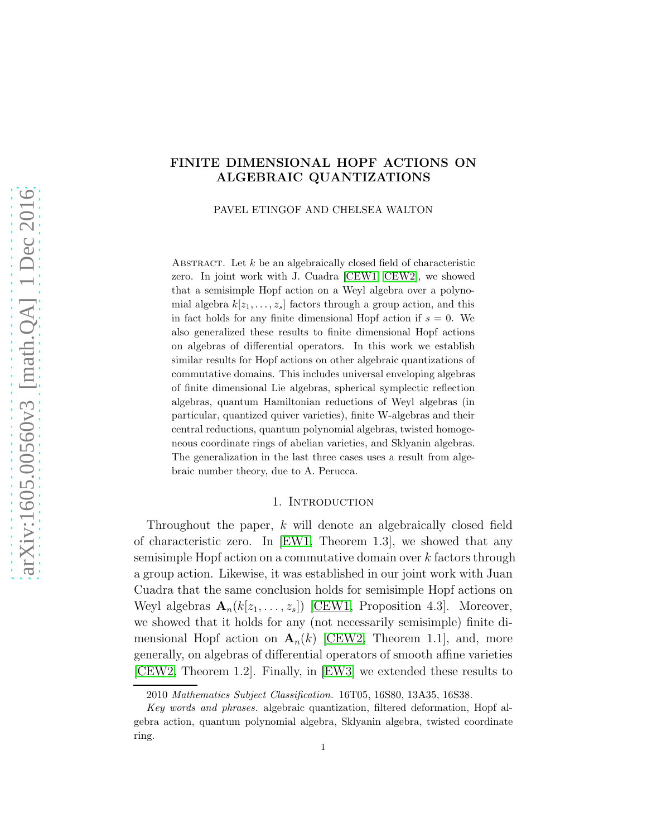## FINITE DIMENSIONAL HOPF ACTIONS ON ALGEBRAIC QUANTIZATIONS

PAVEL ETINGOF AND CHELSEA WALTON

ABSTRACT. Let  $k$  be an algebraically closed field of characteristic zero. In joint work with J. Cuadra [\[CEW1,](#page-25-0) [CEW2\]](#page-25-1), we showed that a semisimple Hopf action on a Weyl algebra over a polynomial algebra  $k[z_1, \ldots, z_s]$  factors through a group action, and this in fact holds for any finite dimensional Hopf action if  $s = 0$ . We also generalized these results to finite dimensional Hopf actions on algebras of differential operators. In this work we establish similar results for Hopf actions on other algebraic quantizations of commutative domains. This includes universal enveloping algebras of finite dimensional Lie algebras, spherical symplectic reflection algebras, quantum Hamiltonian reductions of Weyl algebras (in particular, quantized quiver varieties), finite W-algebras and their central reductions, quantum polynomial algebras, twisted homogeneous coordinate rings of abelian varieties, and Sklyanin algebras. The generalization in the last three cases uses a result from algebraic number theory, due to A. Perucca.

#### 1. INTRODUCTION

Throughout the paper, k will denote an algebraically closed field of characteristic zero. In [\[EW1,](#page-25-2) Theorem 1.3], we showed that any semisimple Hopf action on a commutative domain over k factors through a group action. Likewise, it was established in our joint work with Juan Cuadra that the same conclusion holds for semisimple Hopf actions on Weyl algebras  $\mathbf{A}_n(k[z_1,\ldots,z_s])$  [\[CEW1,](#page-25-0) Proposition 4.3]. Moreover, we showed that it holds for any (not necessarily semisimple) finite dimensional Hopf action on  $\mathbf{A}_n(k)$  [\[CEW2,](#page-25-1) Theorem 1.1], and, more generally, on algebras of differential operators of smooth affine varieties [\[CEW2,](#page-25-1) Theorem 1.2]. Finally, in [\[EW3\]](#page-26-0) we extended these results to

<sup>2010</sup> *Mathematics Subject Classification.* 16T05, 16S80, 13A35, 16S38.

*Key words and phrases.* algebraic quantization, filtered deformation, Hopf algebra action, quantum polynomial algebra, Sklyanin algebra, twisted coordinate ring.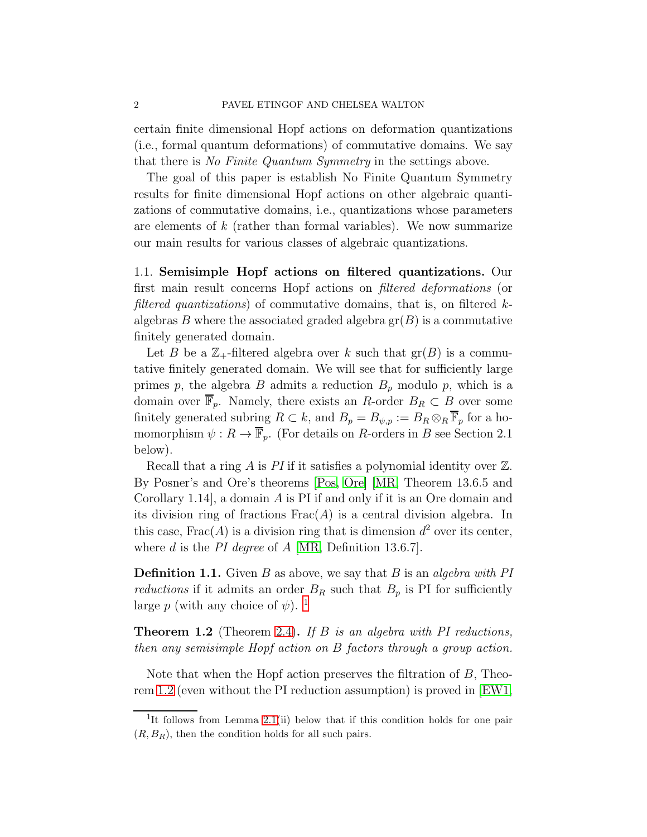certain finite dimensional Hopf actions on deformation quantizations (i.e., formal quantum deformations) of commutative domains. We say that there is No Finite Quantum Symmetry in the settings above.

The goal of this paper is establish No Finite Quantum Symmetry results for finite dimensional Hopf actions on other algebraic quantizations of commutative domains, i.e., quantizations whose parameters are elements of  $k$  (rather than formal variables). We now summarize our main results for various classes of algebraic quantizations.

1.1. Semisimple Hopf actions on filtered quantizations. Our first main result concerns Hopf actions on filtered deformations (or filtered quantizations) of commutative domains, that is, on filtered  $k$ algebras B where the associated graded algebra  $gr(B)$  is a commutative finitely generated domain.

Let B be a  $\mathbb{Z}_+$ -filtered algebra over k such that  $gr(B)$  is a commutative finitely generated domain. We will see that for sufficiently large primes p, the algebra B admits a reduction  $B_p$  modulo p, which is a domain over  $\overline{\mathbb{F}}_p$ . Namely, there exists an R-order  $B_R \subset B$  over some finitely generated subring  $R \subset k$ , and  $B_p = B_{\psi,p} := B_R \otimes_R \overline{\mathbb{F}}_p$  for a homomorphism  $\psi: R \to \overline{\mathbb{F}}_p$ . (For details on R-orders in B see Section 2.1) below).

Recall that a ring A is PI if it satisfies a polynomial identity over  $\mathbb{Z}$ . By Posner's and Ore's theorems [\[Pos,](#page-26-1) [Ore\]](#page-26-2) [\[MR,](#page-26-3) Theorem 13.6.5 and Corollary 1.14], a domain A is PI if and only if it is an Ore domain and its division ring of fractions  $Frac(A)$  is a central division algebra. In this case,  $Frac(A)$  is a division ring that is dimension  $d^2$  over its center, where d is the PI degree of  $A$  [\[MR,](#page-26-3) Definition 13.6.7].

**Definition 1.1.** Given B as above, we say that B is an *algebra with PI* reductions if it admits an order  $B_R$  such that  $B_p$  is PI for sufficiently large p (with any choice of  $\psi$ ). <sup>[1](#page-1-0)</sup>

<span id="page-1-1"></span>**Theorem 1.2** (Theorem [2.4\)](#page-9-0). If B is an algebra with PI reductions, then any semisimple Hopf action on B factors through a group action.

Note that when the Hopf action preserves the filtration of B, Theorem [1.2](#page-1-1) (even without the PI reduction assumption) is proved in [\[EW1,](#page-25-2)

<span id="page-1-0"></span><sup>&</sup>lt;sup>1</sup>It follows from Lemma [2.1\(](#page-7-0)ii) below that if this condition holds for one pair  $(R, B_R)$ , then the condition holds for all such pairs.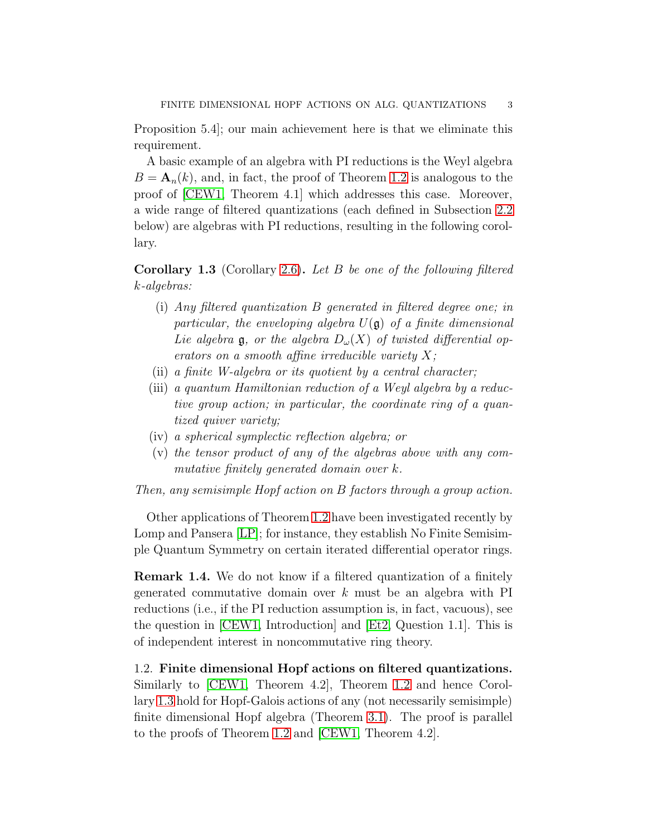Proposition 5.4]; our main achievement here is that we eliminate this requirement.

A basic example of an algebra with PI reductions is the Weyl algebra  $B = \mathbf{A}_n(k)$ , and, in fact, the proof of Theorem [1.2](#page-1-1) is analogous to the proof of [\[CEW1,](#page-25-0) Theorem 4.1] which addresses this case. Moreover, a wide range of filtered quantizations (each defined in Subsection [2.2](#page-9-1) below) are algebras with PI reductions, resulting in the following corollary.

<span id="page-2-0"></span>Corollary 1.3 (Corollary [2.6\)](#page-11-0). Let B be one of the following filtered k-algebras:

- (i) Any filtered quantization B generated in filtered degree one; in particular, the enveloping algebra  $U(\mathfrak{g})$  of a finite dimensional Lie algebra  $\mathfrak g$ , or the algebra  $D_{\omega}(X)$  of twisted differential operators on a smooth affine irreducible variety  $X$ ;
- (ii) a finite W-algebra or its quotient by a central character;
- (iii) a quantum Hamiltonian reduction of a Weyl algebra by a reductive group action; in particular, the coordinate ring of a quantized quiver variety;
- (iv) a spherical symplectic reflection algebra; or
- (v) the tensor product of any of the algebras above with any commutative finitely generated domain over k.

Then, any semisimple Hopf action on B factors through a group action.

Other applications of Theorem [1.2](#page-1-1) have been investigated recently by Lomp and Pansera [\[LP\]](#page-26-4); for instance, they establish No Finite Semisimple Quantum Symmetry on certain iterated differential operator rings.

Remark 1.4. We do not know if a filtered quantization of a finitely generated commutative domain over  $k$  must be an algebra with PI reductions (i.e., if the PI reduction assumption is, in fact, vacuous), see the question in [\[CEW1,](#page-25-0) Introduction] and [\[Et2,](#page-25-3) Question 1.1]. This is of independent interest in noncommutative ring theory.

1.2. Finite dimensional Hopf actions on filtered quantizations. Similarly to [\[CEW1,](#page-25-0) Theorem 4.2], Theorem [1.2](#page-1-1) and hence Corollary [1.3](#page-2-0) hold for Hopf-Galois actions of any (not necessarily semisimple) finite dimensional Hopf algebra (Theorem [3.1\)](#page-13-0). The proof is parallel to the proofs of Theorem [1.2](#page-1-1) and [\[CEW1,](#page-25-0) Theorem 4.2].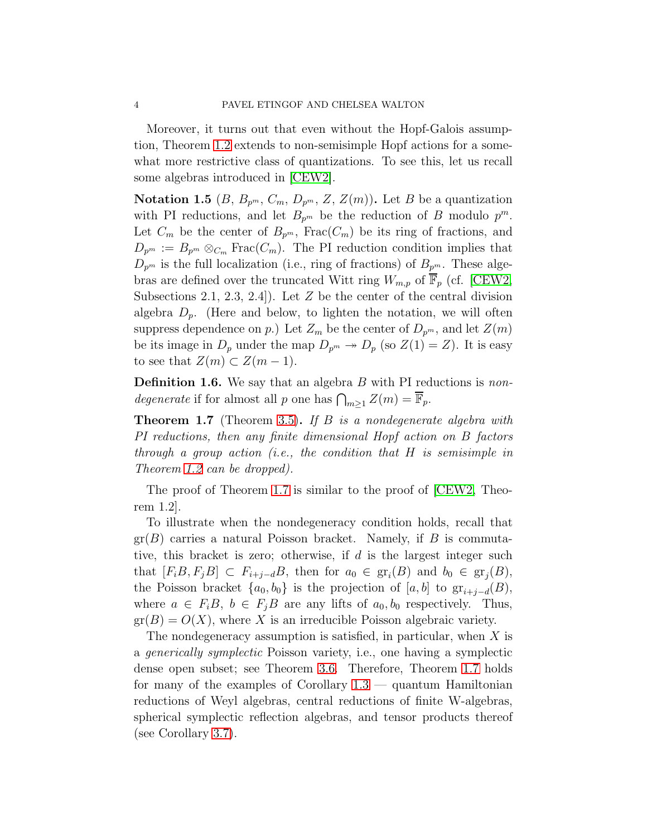Moreover, it turns out that even without the Hopf-Galois assumption, Theorem [1.2](#page-1-1) extends to non-semisimple Hopf actions for a somewhat more restrictive class of quantizations. To see this, let us recall some algebras introduced in [\[CEW2\]](#page-25-1).

<span id="page-3-1"></span>Notation 1.5 (B,  $B_{p^m}$ ,  $C_m$ ,  $D_{p^m}$ , Z,  $Z(m)$ ). Let B be a quantization with PI reductions, and let  $B_{p^m}$  be the reduction of B modulo  $p^m$ . Let  $C_m$  be the center of  $B_{p^m}$ , Frac $(C_m)$  be its ring of fractions, and  $D_{p^m} := B_{p^m} \otimes_{C_m} \text{Frac}(C_m)$ . The PI reduction condition implies that  $D_{p^m}$  is the full localization (i.e., ring of fractions) of  $B_{p^m}$ . These algebras are defined over the truncated Witt ring  $W_{m,p}$  of  $\mathbb{F}_p$  (cf. [\[CEW2,](#page-25-1) Subsections 2.1, 2.3, 2.4.). Let  $Z$  be the center of the central division algebra  $D_p$ . (Here and below, to lighten the notation, we will often suppress dependence on p.) Let  $Z_m$  be the center of  $D_{p^m}$ , and let  $Z(m)$ be its image in  $D_p$  under the map  $D_{p^m} \to D_p$  (so  $Z(1) = Z$ ). It is easy to see that  $Z(m) \subset Z(m-1)$ .

<span id="page-3-2"></span>**Definition 1.6.** We say that an algebra  $B$  with PI reductions is non*degenerate* if for almost all p one has  $\bigcap_{m\geq 1} Z(m) = \overline{\mathbb{F}}_p$ .

<span id="page-3-0"></span>**Theorem 1.7** (Theorem [3.5\)](#page-15-0). If  $B$  is a nondegenerate algebra with PI reductions, then any finite dimensional Hopf action on B factors through a group action (i.e., the condition that H is semisimple in Theorem [1.2](#page-1-1) can be dropped).

The proof of Theorem [1.7](#page-3-0) is similar to the proof of [\[CEW2,](#page-25-1) Theorem 1.2].

To illustrate when the nondegeneracy condition holds, recall that  $gr(B)$  carries a natural Poisson bracket. Namely, if B is commutative, this bracket is zero; otherwise, if  $d$  is the largest integer such that  $[F_iB, F_jB] \subset F_{i+j-d}B$ , then for  $a_0 \in \text{gr}_i(B)$  and  $b_0 \in \text{gr}_j(B)$ , the Poisson bracket  $\{a_0, b_0\}$  is the projection of  $[a, b]$  to  $gr_{i+j-d}(B)$ , where  $a \in F_iB$ ,  $b \in F_jB$  are any lifts of  $a_0, b_0$  respectively. Thus,  $gr(B) = O(X)$ , where X is an irreducible Poisson algebraic variety.

The nondegeneracy assumption is satisfied, in particular, when  $X$  is a generically symplectic Poisson variety, i.e., one having a symplectic dense open subset; see Theorem [3.6.](#page-16-0) Therefore, Theorem [1.7](#page-3-0) holds for many of the examples of Corollary [1.3](#page-2-0) — quantum Hamiltonian reductions of Weyl algebras, central reductions of finite W-algebras, spherical symplectic reflection algebras, and tensor products thereof (see Corollary [3.7\)](#page-17-0).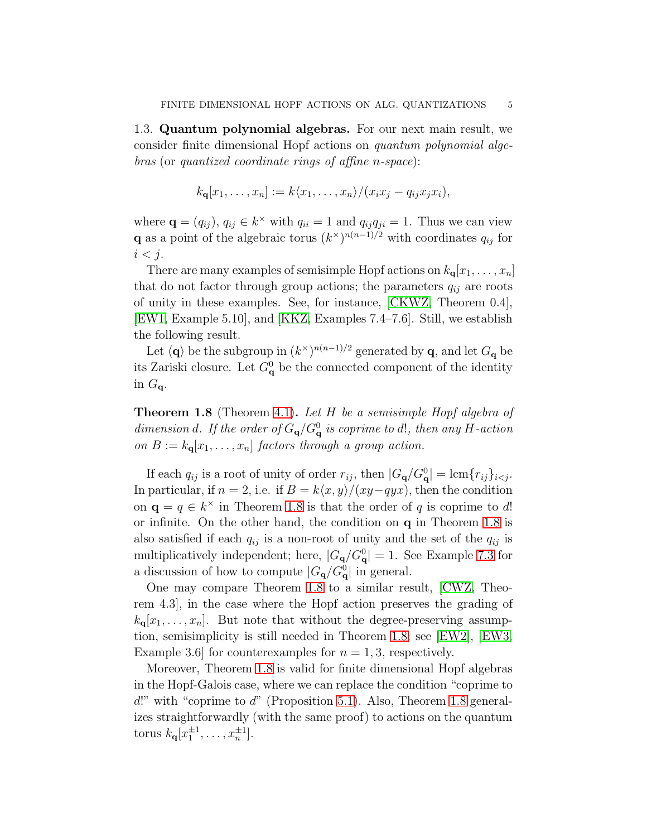1.3. Quantum polynomial algebras. For our next main result, we consider finite dimensional Hopf actions on quantum polynomial algebras (or quantized coordinate rings of affine n-space):

$$
k_{\mathbf{q}}[x_1,\ldots,x_n] := k\langle x_1,\ldots,x_n\rangle/(x_ix_j-q_{ij}x_jx_i),
$$

where  $\mathbf{q} = (q_{ij}), q_{ij} \in k^{\times}$  with  $q_{ii} = 1$  and  $q_{ij}q_{ji} = 1$ . Thus we can view **q** as a point of the algebraic torus  $(k^{\times})^{n(n-1)/2}$  with coordinates  $q_{ij}$  for  $i < j$ .

There are many examples of semisimple Hopf actions on  $k_{q}[x_1, \ldots, x_n]$ that do not factor through group actions; the parameters  $q_{ij}$  are roots of unity in these examples. See, for instance, [\[CKWZ,](#page-25-4) Theorem 0.4], [\[EW1,](#page-25-2) Example 5.10], and [\[KKZ,](#page-26-5) Examples 7.4–7.6]. Still, we establish the following result.

Let  $\langle \mathbf{q} \rangle$  be the subgroup in  $(k^{\times})^{n(n-1)/2}$  generated by  $\mathbf{q}$ , and let  $G_{\mathbf{q}}$  be its Zariski closure. Let  $G_{\mathbf{q}}^0$  be the connected component of the identity in  $G_{\mathbf{q}}$ .

<span id="page-4-0"></span>**Theorem 1.8** (Theorem [4.1\)](#page-18-0). Let  $H$  be a semisimple Hopf algebra of dimension d. If the order of  $G_{\mathbf{q}}/G_{\mathbf{q}}^0$  is coprime to d!, then any H-action on  $B := k_{\mathbf{q}}[x_1, \ldots, x_n]$  factors through a group action.

If each  $q_{ij}$  is a root of unity of order  $r_{ij}$ , then  $|G_{\mathbf{q}}/G_{\mathbf{q}}^0| = \text{lcm}\{r_{ij}\}_{i \leq j}$ . In particular, if  $n = 2$ , i.e. if  $B = k\langle x, y \rangle / (xy-qyx)$ , then the condition on  $\mathbf{q} = q \in k^{\times}$  in Theorem [1.8](#page-4-0) is that the order of q is coprime to d! or infinite. On the other hand, the condition on q in Theorem [1.8](#page-4-0) is also satisfied if each  $q_{ij}$  is a non-root of unity and the set of the  $q_{ij}$  is multiplicatively independent; here,  $|G_{\mathbf{q}}/G_{\mathbf{q}}^0| = 1$ . See Example [7.3](#page-24-0) for a discussion of how to compute  $|G_{\mathbf{q}}/G_{\mathbf{q}}^0|$  in general.

One may compare Theorem [1.8](#page-4-0) to a similar result, [\[CWZ,](#page-25-5) Theorem 4.3], in the case where the Hopf action preserves the grading of  $k_{q}[x_1, \ldots, x_n]$ . But note that without the degree-preserving assumption, semisimplicity is still needed in Theorem [1.8;](#page-4-0) see [\[EW2\]](#page-26-6), [\[EW3,](#page-26-0) Example 3.6 for counterexamples for  $n = 1, 3$ , respectively.

Moreover, Theorem [1.8](#page-4-0) is valid for finite dimensional Hopf algebras in the Hopf-Galois case, where we can replace the condition "coprime to  $d!$ " with "coprime to  $d$ " (Proposition [5.1\)](#page-19-0). Also, Theorem [1.8](#page-4-0) generalizes straightforwardly (with the same proof) to actions on the quantum torus  $k_{\mathbf{q}}[x_1^{\pm 1},...,x_n^{\pm 1}].$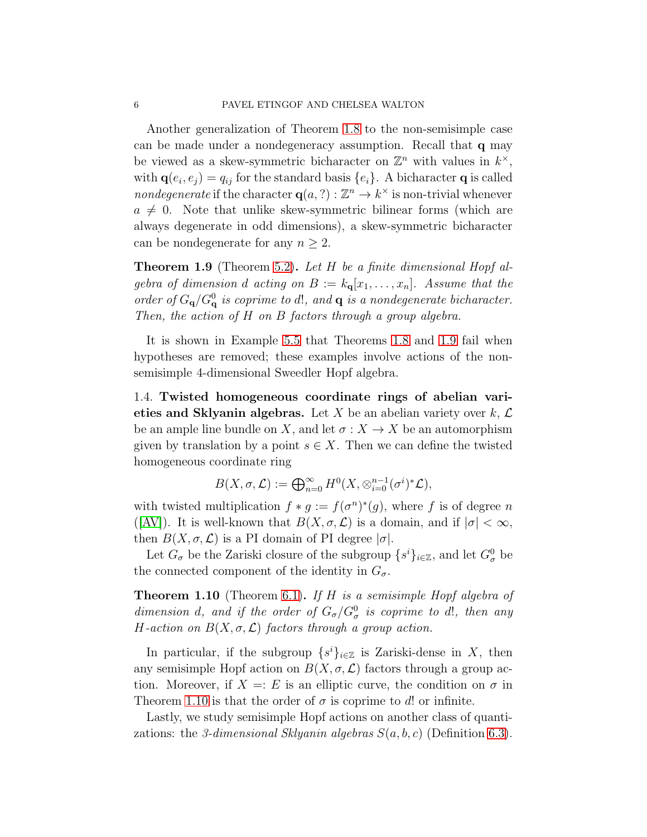Another generalization of Theorem [1.8](#page-4-0) to the non-semisimple case can be made under a nondegeneracy assumption. Recall that q may be viewed as a skew-symmetric bicharacter on  $\mathbb{Z}^n$  with values in  $k^{\times}$ , with  $\mathbf{q}(e_i, e_j) = q_{ij}$  for the standard basis  $\{e_i\}$ . A bicharacter **q** is called *nondegenerate* if the character  $q(a, ?): \mathbb{Z}^n \to k^{\times}$  is non-trivial whenever  $a \neq 0$ . Note that unlike skew-symmetric bilinear forms (which are always degenerate in odd dimensions), a skew-symmetric bicharacter can be nondegenerate for any  $n \geq 2$ .

<span id="page-5-0"></span>**Theorem 1.9** (Theorem [5.2\)](#page-20-0). Let H be a finite dimensional Hopf algebra of dimension d acting on  $B := k_q[x_1, \ldots, x_n]$ . Assume that the order of  $G_{\mathbf{q}}/G_{\mathbf{q}}^0$  is coprime to d!, and  $\mathbf{q}$  is a nondegenerate bicharacter. Then, the action of H on B factors through a group algebra.

It is shown in Example [5.5](#page-21-0) that Theorems [1.8](#page-4-0) and [1.9](#page-5-0) fail when hypotheses are removed; these examples involve actions of the nonsemisimple 4-dimensional Sweedler Hopf algebra.

<span id="page-5-2"></span>1.4. Twisted homogeneous coordinate rings of abelian varieties and Sklyanin algebras. Let X be an abelian variety over  $k, \mathcal{L}$ be an ample line bundle on X, and let  $\sigma: X \to X$  be an automorphism given by translation by a point  $s \in X$ . Then we can define the twisted homogeneous coordinate ring

$$
B(X, \sigma, \mathcal{L}) := \bigoplus_{n=0}^{\infty} H^{0}(X, \otimes_{i=0}^{n-1} (\sigma^{i})^{*} \mathcal{L}),
$$

with twisted multiplication  $f * g := f(\sigma^n)^*(g)$ , where f is of degree n ([\[AV\]](#page-25-6)). It is well-known that  $B(X, \sigma, \mathcal{L})$  is a domain, and if  $|\sigma| < \infty$ , then  $B(X, \sigma, \mathcal{L})$  is a PI domain of PI degree  $|\sigma|$ .

Let  $G_{\sigma}$  be the Zariski closure of the subgroup  $\{s^{i}\}_{i\in\mathbb{Z}}$ , and let  $G_{\sigma}^{0}$  be the connected component of the identity in  $G_{\sigma}$ .

<span id="page-5-1"></span>**Theorem 1.10** (Theorem [6.1\)](#page-22-0). If H is a semisimple Hopf algebra of dimension d, and if the order of  $G_{\sigma}/G_{\sigma}^0$  is coprime to d!, then any H-action on  $B(X, \sigma, \mathcal{L})$  factors through a group action.

In particular, if the subgroup  $\{s^i\}_{i\in\mathbb{Z}}$  is Zariski-dense in X, then any semisimple Hopf action on  $B(X, \sigma, \mathcal{L})$  factors through a group action. Moreover, if  $X = E$  is an elliptic curve, the condition on  $\sigma$  in Theorem [1.10](#page-5-1) is that the order of  $\sigma$  is coprime to d! or infinite.

Lastly, we study semisimple Hopf actions on another class of quantizations: the 3-dimensional Sklyanin algebras  $S(a, b, c)$  (Definition [6.3\)](#page-22-1).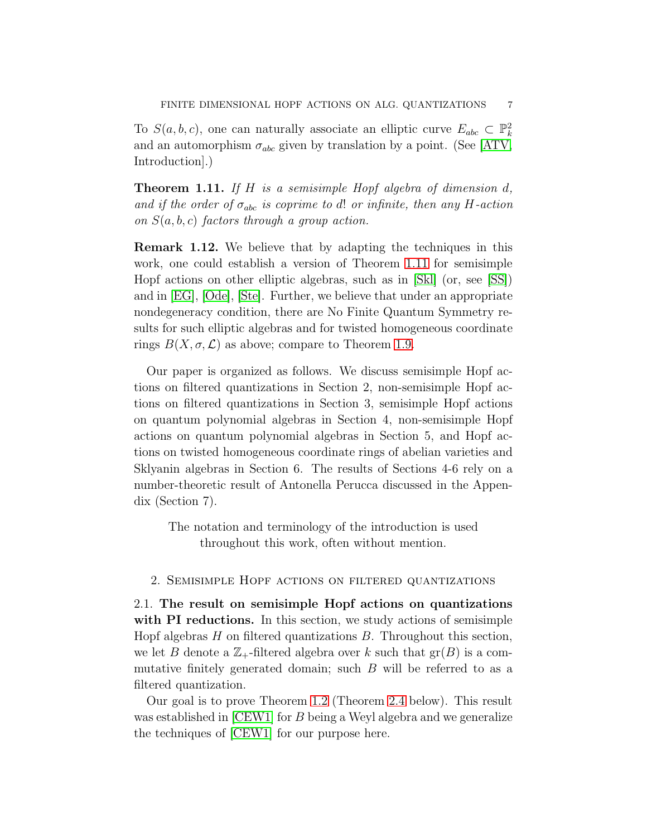To  $S(a, b, c)$ , one can naturally associate an elliptic curve  $E_{abc} \subset \mathbb{P}^2_k$ and an automorphism  $\sigma_{abc}$  given by translation by a point. (See [\[ATV,](#page-25-7) Introduction].)

<span id="page-6-0"></span>**Theorem 1.11.** If H is a semisimple Hopf algebra of dimension  $d$ , and if the order of  $\sigma_{abc}$  is coprime to d! or infinite, then any H-action on  $S(a, b, c)$  factors through a group action.

Remark 1.12. We believe that by adapting the techniques in this work, one could establish a version of Theorem [1.11](#page-6-0) for semisimple Hopf actions on other elliptic algebras, such as in [\[Skl\]](#page-26-7) (or, see [\[SS\]](#page-27-0)) and in [\[EG\]](#page-25-8), [\[Ode\]](#page-26-8), [\[Ste\]](#page-27-1). Further, we believe that under an appropriate nondegeneracy condition, there are No Finite Quantum Symmetry results for such elliptic algebras and for twisted homogeneous coordinate rings  $B(X, \sigma, \mathcal{L})$  as above; compare to Theorem [1.9.](#page-5-0)

Our paper is organized as follows. We discuss semisimple Hopf actions on filtered quantizations in Section 2, non-semisimple Hopf actions on filtered quantizations in Section 3, semisimple Hopf actions on quantum polynomial algebras in Section 4, non-semisimple Hopf actions on quantum polynomial algebras in Section 5, and Hopf actions on twisted homogeneous coordinate rings of abelian varieties and Sklyanin algebras in Section 6. The results of Sections 4-6 rely on a number-theoretic result of Antonella Perucca discussed in the Appendix (Section 7).

The notation and terminology of the introduction is used throughout this work, often without mention.

## 2. Semisimple Hopf actions on filtered quantizations

2.1. The result on semisimple Hopf actions on quantizations with PI reductions. In this section, we study actions of semisimple Hopf algebras  $H$  on filtered quantizations  $B$ . Throughout this section, we let B denote a  $\mathbb{Z}_+$ -filtered algebra over k such that  $gr(B)$  is a commutative finitely generated domain; such B will be referred to as a filtered quantization.

Our goal is to prove Theorem [1.2](#page-1-1) (Theorem [2.4](#page-9-0) below). This result was established in [\[CEW1\]](#page-25-0) for B being a Weyl algebra and we generalize the techniques of [\[CEW1\]](#page-25-0) for our purpose here.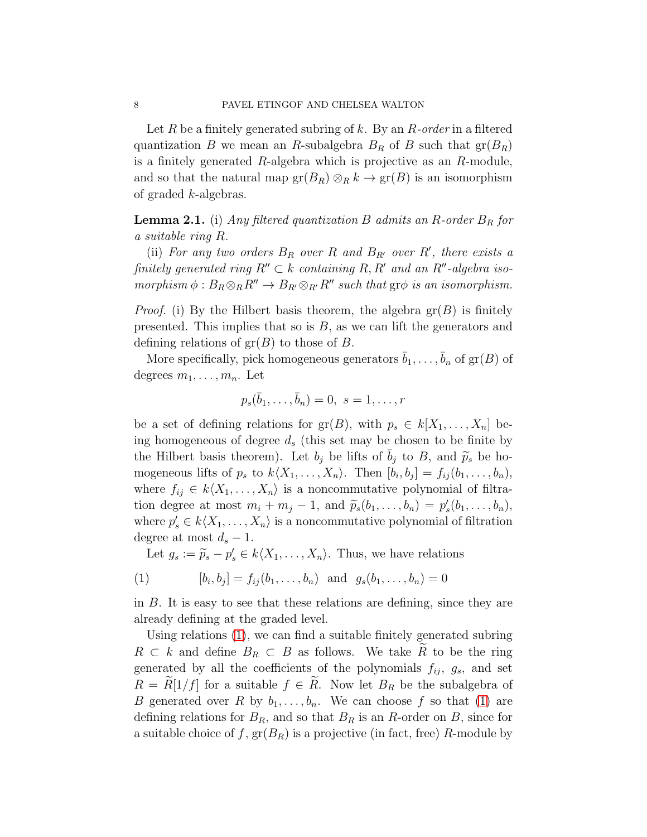Let R be a finitely generated subring of k. By an  $R$ -order in a filtered quantization B we mean an R-subalgebra  $B_R$  of B such that  $\text{gr}(B_R)$ is a finitely generated  $R$ -algebra which is projective as an  $R$ -module, and so that the natural map  $\text{gr}(B_R) \otimes_R k \to \text{gr}(B)$  is an isomorphism of graded k-algebras.

<span id="page-7-0"></span>**Lemma 2.1.** (i) Any filtered quantization B admits an R-order  $B_R$  for a suitable ring R.

(ii) For any two orders  $B_R$  over R and  $B_{R'}$  over R', there exists a finitely generated ring  $R'' \subset k$  containing R, R' and an R''-algebra isomorphism  $\phi : B_R \otimes_R R'' \to B_{R'} \otimes_{R'} R''$  such that  $\text{gr}\phi$  is an isomorphism.

*Proof.* (i) By the Hilbert basis theorem, the algebra  $gr(B)$  is finitely presented. This implies that so is  $B$ , as we can lift the generators and defining relations of  $gr(B)$  to those of B.

More specifically, pick homogeneous generators  $\bar{b}_1, \ldots, \bar{b}_n$  of  $\mathrm{gr}(B)$  of degrees  $m_1, \ldots, m_n$ . Let

$$
p_s(\bar{b}_1,\ldots,\bar{b}_n)=0, \ s=1,\ldots,r
$$

be a set of defining relations for  $gr(B)$ , with  $p_s \in k[X_1, \ldots, X_n]$  being homogeneous of degree  $d_s$  (this set may be chosen to be finite by the Hilbert basis theorem). Let  $b_j$  be lifts of  $b_j$  to B, and  $\widetilde{p}_s$  be homogeneous lifts of  $p_s$  to  $k\langle X_1, \ldots, X_n\rangle$ . Then  $[b_i, b_j] = f_{ij}(b_1, \ldots, b_n)$ , where  $f_{ij} \in k\langle X_1, \ldots, X_n\rangle$  is a noncommutative polynomial of filtration degree at most  $m_i + m_j - 1$ , and  $\widetilde{p}_s(b_1, \ldots, b_n) = p'_s(b_1, \ldots, b_n)$ , where  $p'_s \in k\langle X_1, \ldots, X_n \rangle$  is a noncommutative polynomial of filtration degree at most  $d_s - 1$ .

<span id="page-7-1"></span>Let  $g_s := \widetilde{p}_s - p'_s \in k\langle X_1, \ldots, X_n \rangle$ . Thus, we have relations

(1) 
$$
[b_i, b_j] = f_{ij}(b_1, ..., b_n)
$$
 and  $g_s(b_1, ..., b_n) = 0$ 

in B. It is easy to see that these relations are defining, since they are already defining at the graded level.

Using relations [\(1\)](#page-7-1), we can find a suitable finitely generated subring  $R \subset k$  and define  $B_R \subset B$  as follows. We take R to be the ring generated by all the coefficients of the polynomials  $f_{ij}$ ,  $g_s$ , and set  $R = R[1/f]$  for a suitable  $f \in R$ . Now let  $B_R$  be the subalgebra of B generated over R by  $b_1, \ldots, b_n$ . We can choose f so that [\(1\)](#page-7-1) are defining relations for  $B_R$ , and so that  $B_R$  is an R-order on B, since for a suitable choice of f,  $gr(B_R)$  is a projective (in fact, free) R-module by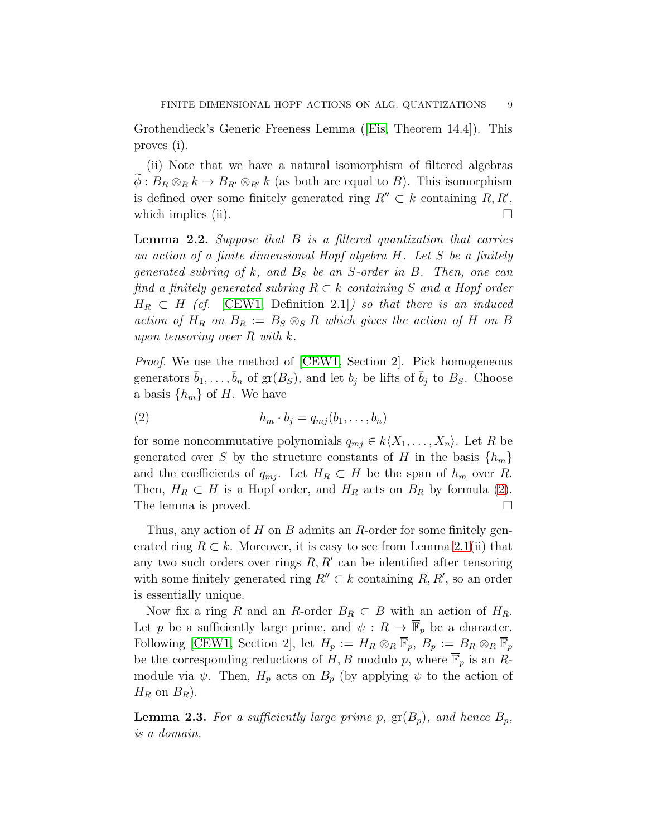Grothendieck's Generic Freeness Lemma([\[Eis,](#page-25-9) Theorem 14.4]). This proves (i).

(ii) Note that we have a natural isomorphism of filtered algebras  $\widetilde{\phi}: B_R \otimes_R k \to B_{R'} \otimes_{R'} k$  (as both are equal to B). This isomorphism is defined over some finitely generated ring  $R'' \subset k$  containing  $R, R'$ , which implies (ii).  $\Box$ 

**Lemma 2.2.** Suppose that  $B$  is a filtered quantization that carries an action of a finite dimensional Hopf algebra H. Let S be a finitely generated subring of  $k$ , and  $B<sub>S</sub>$  be an S-order in B. Then, one can find a finitely generated subring  $R \subset k$  containing S and a Hopf order  $H_R \subset H$  (cf. [\[CEW1,](#page-25-0) Definition 2.1]) so that there is an induced action of  $H_R$  on  $B_R := B_S \otimes_S R$  which gives the action of H on B upon tensoring over  $R$  with  $k$ .

Proof. We use the method of [\[CEW1,](#page-25-0) Section 2]. Pick homogeneous generators  $\bar{b}_1, \ldots, \bar{b}_n$  of  $gr(B_S)$ , and let  $b_j$  be lifts of  $\bar{b}_j$  to  $B_S$ . Choose a basis  $\{h_m\}$  of H. We have

<span id="page-8-0"></span>
$$
(2) \t\t\t\t h_m \cdot b_j = q_{mj}(b_1, \ldots, b_n)
$$

for some noncommutative polynomials  $q_{mi} \in k\langle X_1, \ldots, X_n \rangle$ . Let R be generated over S by the structure constants of H in the basis  $\{h_m\}$ and the coefficients of  $q_{mj}$ . Let  $H_R \subset H$  be the span of  $h_m$  over R. Then,  $H_R \subset H$  is a Hopf order, and  $H_R$  acts on  $B_R$  by formula [\(2\)](#page-8-0). The lemma is proved.

Thus, any action of  $H$  on  $B$  admits an  $R$ -order for some finitely generated ring  $R \subset k$ . Moreover, it is easy to see from Lemma [2.1\(](#page-7-0)ii) that any two such orders over rings  $R, R'$  can be identified after tensoring with some finitely generated ring  $R'' \subset k$  containing  $R, R'$ , so an order is essentially unique.

Now fix a ring R and an R-order  $B_R \subset B$  with an action of  $H_R$ . Let p be a sufficiently large prime, and  $\psi : R \to \overline{\mathbb{F}}_p$  be a character. Following [\[CEW1,](#page-25-0) Section 2], let  $H_p := H_R \otimes_R \overline{\mathbb{F}}_p$ ,  $B_p := B_R \otimes_R \overline{\mathbb{F}}_p$ be the corresponding reductions of H, B modulo p, where  $\overline{\mathbb{F}}_p$  is an Rmodule via  $\psi$ . Then,  $H_p$  acts on  $B_p$  (by applying  $\psi$  to the action of  $H_R$  on  $B_R$ ).

<span id="page-8-1"></span>**Lemma 2.3.** For a sufficiently large prime p,  $gr(B_p)$ , and hence  $B_p$ , is a domain.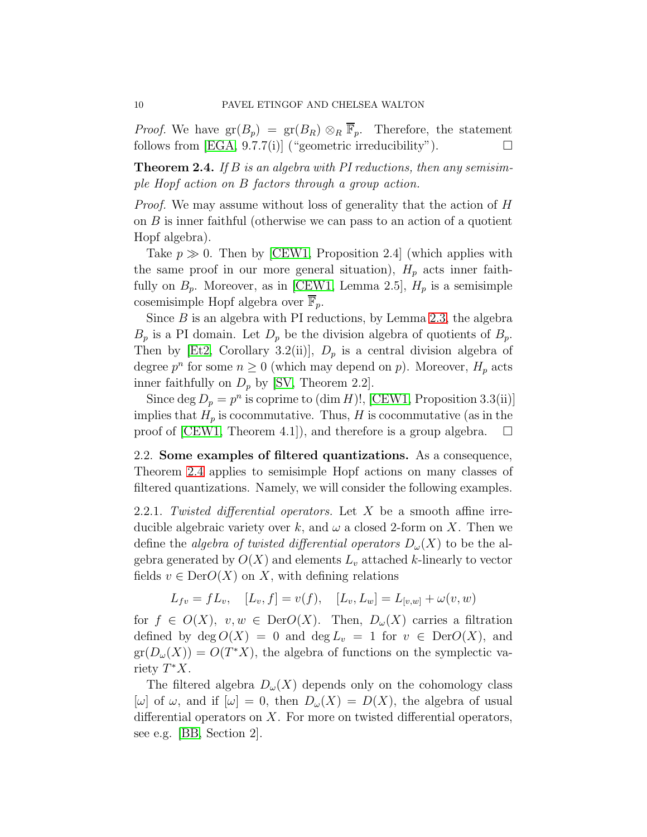*Proof.* We have  $gr(B_p) = gr(B_R) \otimes_R \overline{F}_p$ . Therefore, the statement follows from  $[EGA, 9.7.7(i)]$  ("geometric irreducibility").

<span id="page-9-0"></span>**Theorem 2.4.** If B is an algebra with PI reductions, then any semisimple Hopf action on B factors through a group action.

Proof. We may assume without loss of generality that the action of H on  $B$  is inner faithful (otherwise we can pass to an action of a quotient Hopf algebra).

Take  $p \gg 0$ . Then by [\[CEW1,](#page-25-0) Proposition 2.4] (which applies with the same proof in our more general situation),  $H_p$  acts inner faithfully on  $B_p$ . Moreover, as in [\[CEW1,](#page-25-0) Lemma 2.5],  $H_p$  is a semisimple cosemisimple Hopf algebra over  $\mathbb{F}_n$ .

Since  $B$  is an algebra with PI reductions, by Lemma [2.3,](#page-8-1) the algebra  $B_p$  is a PI domain. Let  $D_p$  be the division algebra of quotients of  $B_p$ . Then by [\[Et2,](#page-25-3) Corollary 3.2(ii)],  $D_p$  is a central division algebra of degree  $p^n$  for some  $n \geq 0$  (which may depend on p). Moreover,  $H_p$  acts inner faithfully on  $D_p$  by [\[SV,](#page-26-10) Theorem 2.2].

Since deg  $D_p = p^n$  is coprime to (dim H)!, [\[CEW1,](#page-25-0) Proposition 3.3(ii)] implies that  $H_p$  is cocommutative. Thus, H is cocommutative (as in the proof of  $|CEW1$ , Theorem 4.1, and therefore is a group algebra.  $\Box$ 

<span id="page-9-1"></span>2.2. Some examples of filtered quantizations. As a consequence, Theorem [2.4](#page-9-0) applies to semisimple Hopf actions on many classes of filtered quantizations. Namely, we will consider the following examples.

2.2.1. Twisted differential operators. Let  $X$  be a smooth affine irreducible algebraic variety over k, and  $\omega$  a closed 2-form on X. Then we define the *algebra of twisted differential operators*  $D_{\omega}(X)$  to be the algebra generated by  $O(X)$  and elements  $L_v$  attached k-linearly to vector fields  $v \in \text{Der}O(X)$  on X, with defining relations

$$
L_{fv} = fL_v, \quad [L_v, f] = v(f), \quad [L_v, L_w] = L_{[v,w]} + \omega(v, w)
$$

for  $f \in O(X)$ ,  $v, w \in DerO(X)$ . Then,  $D_{\omega}(X)$  carries a filtration defined by  $\deg O(X) = 0$  and  $\deg L_v = 1$  for  $v \in \text{Der}O(X)$ , and  $gr(D_{\omega}(X)) = O(T^*X)$ , the algebra of functions on the symplectic variety  $T^*X$ .

The filtered algebra  $D_{\omega}(X)$  depends only on the cohomology class  $[\omega]$  of  $\omega$ , and if  $[\omega] = 0$ , then  $D_{\omega}(X) = D(X)$ , the algebra of usual differential operators on  $X$ . For more on twisted differential operators, see e.g. [\[BB,](#page-25-10) Section 2].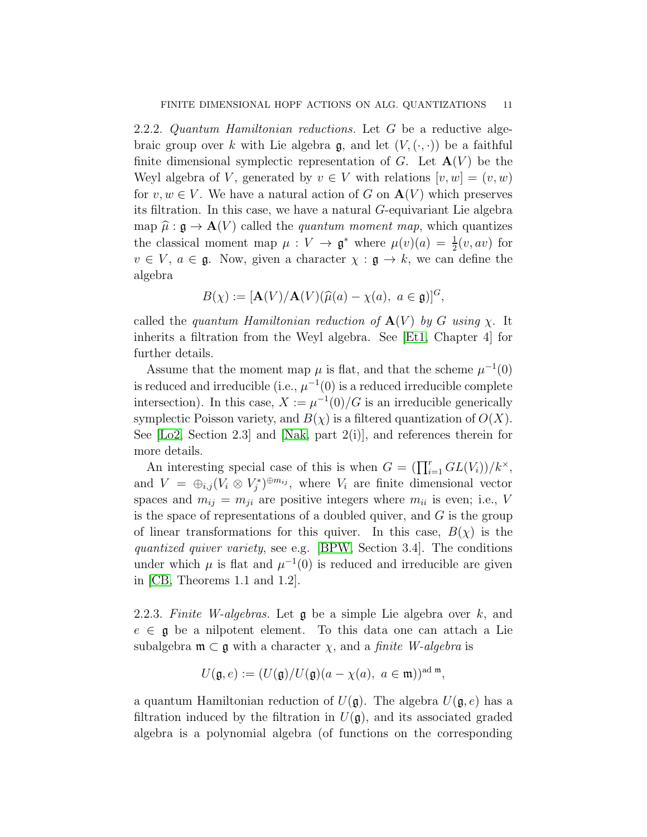2.2.2. Quantum Hamiltonian reductions. Let G be a reductive algebraic group over k with Lie algebra g, and let  $(V, (\cdot, \cdot))$  be a faithful finite dimensional symplectic representation of G. Let  $\mathbf{A}(V)$  be the Weyl algebra of V, generated by  $v \in V$  with relations  $[v, w] = (v, w)$ for  $v, w \in V$ . We have a natural action of G on  $\mathbf{A}(V)$  which preserves its filtration. In this case, we have a natural G-equivariant Lie algebra map  $\hat{\mu} : \mathfrak{g} \to \mathbf{A}(V)$  called the *quantum moment map*, which quantizes the classical moment map  $\mu: V \to \mathfrak{g}^*$  where  $\mu(v)(a) = \frac{1}{2}(v, av)$  for  $v \in V$ ,  $a \in \mathfrak{g}$ . Now, given a character  $\chi : \mathfrak{g} \to k$ , we can define the algebra

$$
B(\chi) := [\mathbf{A}(V)/\mathbf{A}(V)(\widehat{\mu}(a) - \chi(a), \ a \in \mathfrak{g})]^G,
$$

called the quantum Hamiltonian reduction of  $\mathbf{A}(V)$  by G using  $\chi$ . It inherits a filtration from the Weyl algebra. See [\[Et1,](#page-25-11) Chapter 4] for further details.

Assume that the moment map  $\mu$  is flat, and that the scheme  $\mu^{-1}(0)$ is reduced and irreducible (i.e.,  $\mu^{-1}(0)$  is a reduced irreducible complete intersection). In this case,  $X := \mu^{-1}(0)/G$  is an irreducible generically symplectic Poisson variety, and  $B(\chi)$  is a filtered quantization of  $O(X)$ . See  $[Lo2, Section 2.3]$  and  $[Nak, part 2(i)],$  and references therein for more details.

An interesting special case of this is when  $G = (\prod_{i=1}^{r} GL(V_i))/k^{\times}$ , and  $V = \bigoplus_{i,j} (V_i \otimes V_j^*)^{\oplus m_{ij}}$ , where  $V_i$  are finite dimensional vector spaces and  $m_{ij} = m_{ji}$  are positive integers where  $m_{ii}$  is even; i.e., V is the space of representations of a doubled quiver, and  $G$  is the group of linear transformations for this quiver. In this case,  $B(\chi)$  is the quantized quiver variety, see e.g. [\[BPW,](#page-25-12) Section 3.4]. The conditions under which  $\mu$  is flat and  $\mu^{-1}(0)$  is reduced and irreducible are given in [\[CB,](#page-25-13) Theorems 1.1 and 1.2].

2.2.3. Finite W-algebras. Let  $\mathfrak g$  be a simple Lie algebra over  $k$ , and  $e \in \mathfrak{g}$  be a nilpotent element. To this data one can attach a Lie subalgebra  $\mathfrak{m} \subset \mathfrak{g}$  with a character  $\chi$ , and a *finite W-algebra* is

$$
U(\mathfrak{g},e) := (U(\mathfrak{g})/U(\mathfrak{g})(a - \chi(a)), \ a \in \mathfrak{m}))^{\text{ad } \mathfrak{m}},
$$

a quantum Hamiltonian reduction of  $U(\mathfrak{g})$ . The algebra  $U(\mathfrak{g},e)$  has a filtration induced by the filtration in  $U(\mathfrak{g})$ , and its associated graded algebra is a polynomial algebra (of functions on the corresponding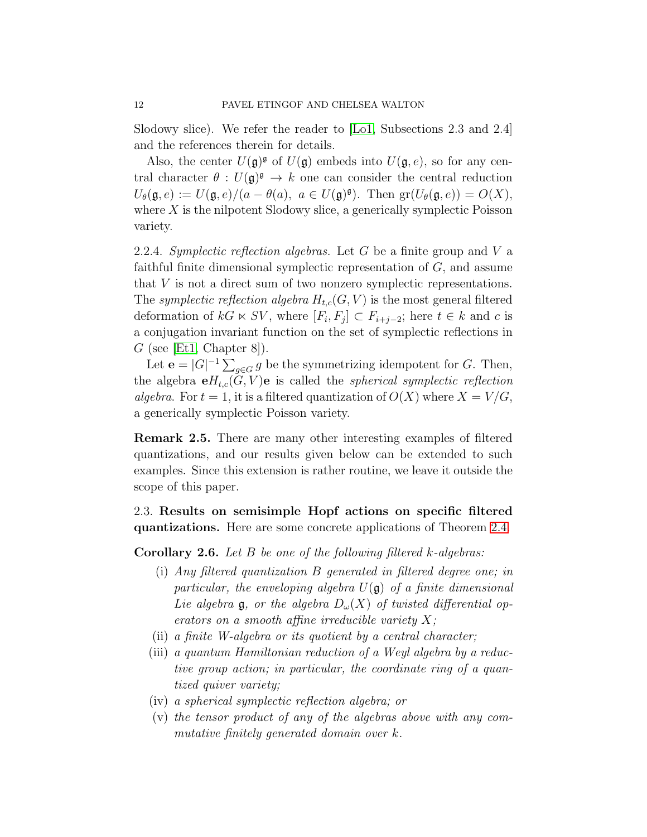Slodowy slice). We refer the reader to [\[Lo1,](#page-26-13) Subsections 2.3 and 2.4] and the references therein for details.

Also, the center  $U(\mathfrak{g})^{\mathfrak{g}}$  of  $U(\mathfrak{g})$  embeds into  $U(\mathfrak{g},e)$ , so for any central character  $\theta: U(\mathfrak{g})^{\mathfrak{g}} \to k$  one can consider the central reduction  $U_{\theta}(\mathfrak{g},e) := U(\mathfrak{g},e)/(a-\theta(a), a \in U(\mathfrak{g})^{\mathfrak{g}})$ . Then  $\text{gr}(U_{\theta}(\mathfrak{g},e)) = O(X)$ , where  $X$  is the nilpotent Slodowy slice, a generically symplectic Poisson variety.

2.2.4. Symplectic reflection algebras. Let  $G$  be a finite group and  $V$  a faithful finite dimensional symplectic representation of G, and assume that V is not a direct sum of two nonzero symplectic representations. The symplectic reflection algebra  $H_{t,c}(G, V)$  is the most general filtered deformation of  $kG \ltimes SV$ , where  $[F_i, F_j] \subset F_{i+j-2}$ ; here  $t \in k$  and c is a conjugation invariant function on the set of symplectic reflections in  $G$  (see [\[Et1,](#page-25-11) Chapter 8]).

Let  $\mathbf{e} = |G|^{-1} \sum_{g \in G} g$  be the symmetrizing idempotent for G. Then, the algebra  $\mathbf{e}H_{t,c}(G,V)\mathbf{e}$  is called the *spherical symplectic reflection* algebra. For  $t = 1$ , it is a filtered quantization of  $O(X)$  where  $X = V/G$ , a generically symplectic Poisson variety.

Remark 2.5. There are many other interesting examples of filtered quantizations, and our results given below can be extended to such examples. Since this extension is rather routine, we leave it outside the scope of this paper.

2.3. Results on semisimple Hopf actions on specific filtered quantizations. Here are some concrete applications of Theorem [2.4.](#page-9-0)

<span id="page-11-0"></span>**Corollary 2.6.** Let  $B$  be one of the following filtered  $k$ -algebras:

- (i) Any filtered quantization B generated in filtered degree one; in particular, the enveloping algebra  $U(\mathfrak{g})$  of a finite dimensional Lie algebra  $\mathfrak{g}$ , or the algebra  $D_{\omega}(X)$  of twisted differential operators on a smooth affine irreducible variety  $X$ ;
- (ii) a finite W-algebra or its quotient by a central character;
- (iii) a quantum Hamiltonian reduction of a Weyl algebra by a reductive group action; in particular, the coordinate ring of a quantized quiver variety;
- (iv) a spherical symplectic reflection algebra; or
- (v) the tensor product of any of the algebras above with any commutative finitely generated domain over k.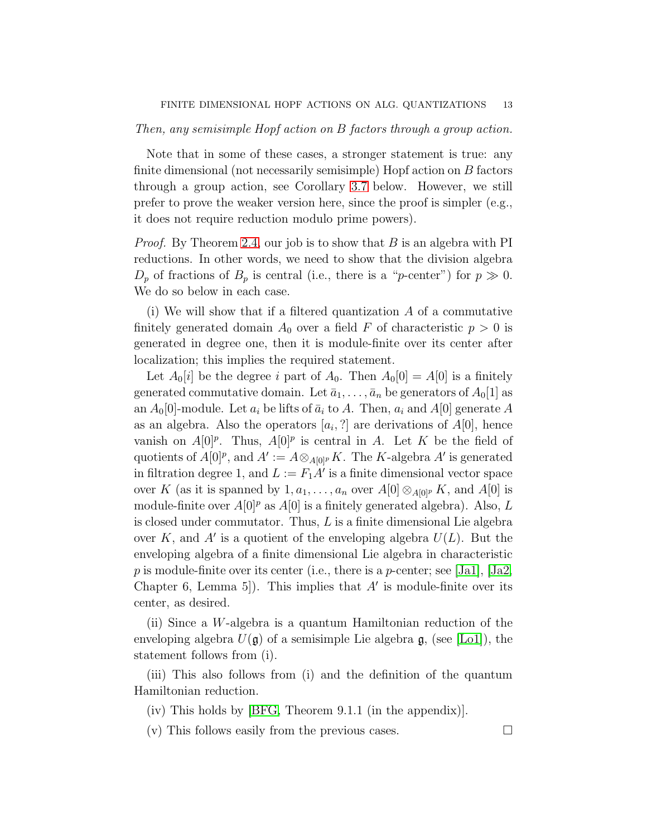#### Then, any semisimple Hopf action on B factors through a group action.

Note that in some of these cases, a stronger statement is true: any finite dimensional (not necessarily semisimple) Hopf action on B factors through a group action, see Corollary [3.7](#page-17-0) below. However, we still prefer to prove the weaker version here, since the proof is simpler (e.g., it does not require reduction modulo prime powers).

*Proof.* By Theorem [2.4,](#page-9-0) our job is to show that  $B$  is an algebra with PI reductions. In other words, we need to show that the division algebra  $D_p$  of fractions of  $B_p$  is central (i.e., there is a "p-center") for  $p \gg 0$ . We do so below in each case.

(i) We will show that if a filtered quantization A of a commutative finitely generated domain  $A_0$  over a field F of characteristic  $p > 0$  is generated in degree one, then it is module-finite over its center after localization; this implies the required statement.

Let  $A_0[i]$  be the degree i part of  $A_0$ . Then  $A_0[0] = A[0]$  is a finitely generated commutative domain. Let  $\bar{a}_1, \ldots, \bar{a}_n$  be generators of  $A_0[1]$  as an  $A_0[0]$ -module. Let  $a_i$  be lifts of  $\bar{a}_i$  to A. Then,  $a_i$  and A[0] generate A as an algebra. Also the operators  $[a_i, ?]$  are derivations of  $A[0]$ , hence vanish on  $A[0]^p$ . Thus,  $A[0]^p$  is central in A. Let K be the field of quotients of  $A[0]^p$ , and  $A' := A \otimes_{A[0]^p} K$ . The K-algebra  $A'$  is generated in filtration degree 1, and  $L := F_1 A'$  is a finite dimensional vector space over K (as it is spanned by  $1, a_1, \ldots, a_n$  over  $A[0] \otimes_{A[0]^p} K$ , and  $A[0]$  is module-finite over  $A[0]^p$  as  $A[0]$  is a finitely generated algebra). Also, L is closed under commutator. Thus,  $L$  is a finite dimensional Lie algebra over K, and A' is a quotient of the enveloping algebra  $U(L)$ . But the enveloping algebra of a finite dimensional Lie algebra in characteristic p is module-finite over its center (i.e., there is a p-center; see [\[Ja1\]](#page-26-14), [\[Ja2,](#page-26-15) Chapter 6, Lemma 5]). This implies that  $A'$  is module-finite over its center, as desired.

(ii) Since a W-algebra is a quantum Hamiltonian reduction of the enveloping algebra  $U(\mathfrak{g})$  of a semisimple Lie algebra  $\mathfrak{g}$ , (see [\[Lo1\]](#page-26-13)), the statement follows from (i).

(iii) This also follows from (i) and the definition of the quantum Hamiltonian reduction.

(iv) This holds by [\[BFG,](#page-25-14) Theorem 9.1.1 (in the appendix)].

(v) This follows easily from the previous cases.  $\Box$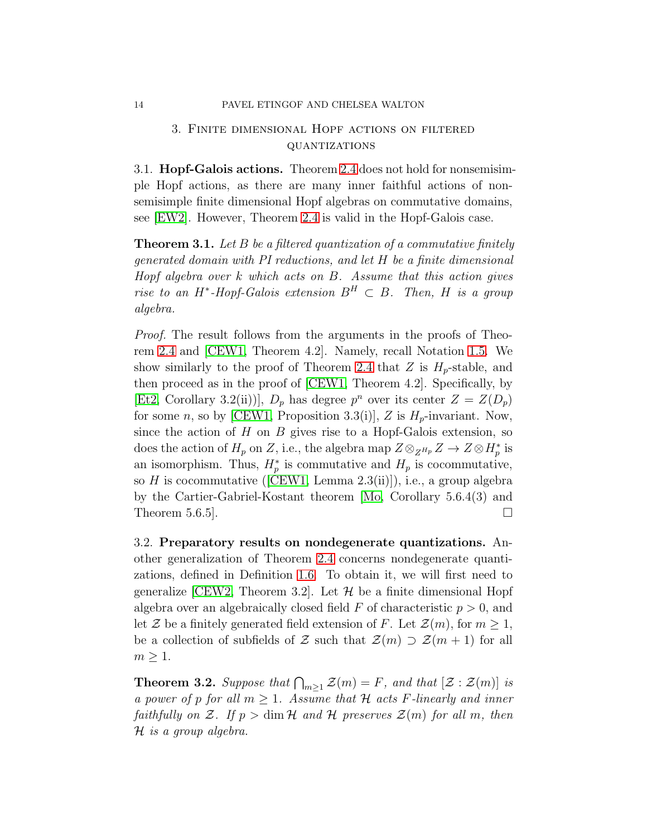## 3. Finite dimensional Hopf actions on filtered quantizations

3.1. Hopf-Galois actions. Theorem [2.4](#page-9-0) does not hold for nonsemisimple Hopf actions, as there are many inner faithful actions of nonsemisimple finite dimensional Hopf algebras on commutative domains, see [\[EW2\]](#page-26-6). However, Theorem [2.4](#page-9-0) is valid in the Hopf-Galois case.

<span id="page-13-0"></span>**Theorem 3.1.** Let  $B$  be a filtered quantization of a commutative finitely generated domain with PI reductions, and let H be a finite dimensional Hopf algebra over k which acts on B. Assume that this action gives rise to an H<sup>\*</sup>-Hopf-Galois extension  $B^H \subset B$ . Then, H is a group algebra.

Proof. The result follows from the arguments in the proofs of Theorem [2.4](#page-9-0) and [\[CEW1,](#page-25-0) Theorem 4.2]. Namely, recall Notation [1.5.](#page-3-1) We show similarly to the proof of Theorem [2.4](#page-9-0) that Z is  $H_p$ -stable, and then proceed as in the proof of [\[CEW1,](#page-25-0) Theorem 4.2]. Specifically, by [\[Et2,](#page-25-3) Corollary 3.2(ii))],  $D_p$  has degree  $p^n$  over its center  $Z = Z(D_p)$ for some n, so by [\[CEW1,](#page-25-0) Proposition 3.3(i)], Z is  $H_p$ -invariant. Now, since the action of  $H$  on  $B$  gives rise to a Hopf-Galois extension, so does the action of  $H_p$  on Z, i.e., the algebra map  $Z \otimes_{Z^{H_p}} Z \to Z \otimes H_p^*$  is an isomorphism. Thus,  $H_p^*$  is commutative and  $H_p$  is cocommutative, soH is cocommutative ( $[CEW1, Lemma 2.3(ii)]$  $[CEW1, Lemma 2.3(ii)]$ ), i.e., a group algebra by the Cartier-Gabriel-Kostant theorem [\[Mo,](#page-26-16) Corollary 5.6.4(3) and Theorem 5.6.5].  $\Box$ 

3.2. Preparatory results on nondegenerate quantizations. Another generalization of Theorem [2.4](#page-9-0) concerns nondegenerate quantizations, defined in Definition [1.6.](#page-3-2) To obtain it, we will first need to generalize [\[CEW2,](#page-25-1) Theorem 3.2]. Let  $\mathcal H$  be a finite dimensional Hopf algebra over an algebraically closed field  $F$  of characteristic  $p > 0$ , and let Z be a finitely generated field extension of F. Let  $\mathcal{Z}(m)$ , for  $m \geq 1$ , be a collection of subfields of Z such that  $\mathcal{Z}(m) \supset \mathcal{Z}(m+1)$  for all  $m \geq 1$ .

<span id="page-13-1"></span>**Theorem 3.2.** Suppose that  $\bigcap_{m\geq 1} \mathcal{Z}(m) = F$ , and that  $[\mathcal{Z} : \mathcal{Z}(m)]$  is a power of p for all  $m \geq 1$ . Assume that H acts F-linearly and inner faithfully on Z. If  $p > \dim \mathcal{H}$  and  $\mathcal{H}$  preserves  $\mathcal{Z}(m)$  for all m, then H is a group algebra.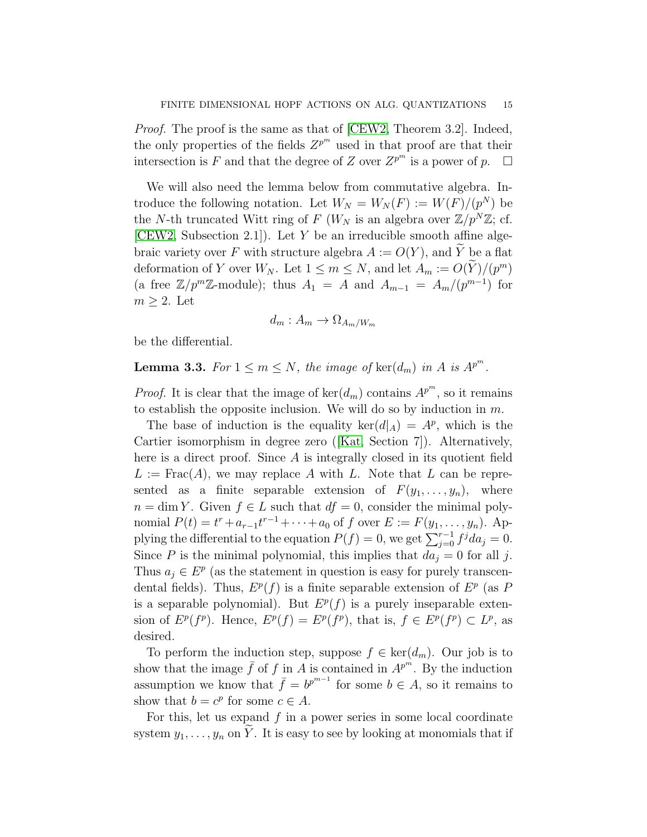Proof. The proof is the same as that of [\[CEW2,](#page-25-1) Theorem 3.2]. Indeed, the only properties of the fields  $Z^{p^m}$  used in that proof are that their intersection is F and that the degree of Z over  $Z^{p^m}$  is a power of  $p$ .  $\Box$ 

We will also need the lemma below from commutative algebra. Introduce the following notation. Let  $W_N = W_N(F) := W(F)/(p^N)$  be the N-th truncated Witt ring of F ( $W_N$  is an algebra over  $\mathbb{Z}/p^N\mathbb{Z}$ ; cf. [\[CEW2,](#page-25-1) Subsection 2.1]). Let Y be an irreducible smooth affine algebraic variety over F with structure algebra  $A := O(Y)$ , and  $\widetilde{Y}$  be a flat deformation of Y over  $W_N$ . Let  $1 \le m \le N$ , and let  $A_m := O(Y)/(p^m)$ (a free  $\mathbb{Z}/p^m\mathbb{Z}$ -module); thus  $A_1 = A$  and  $A_{m-1} = A_m/(p^{m-1})$  for  $m \geq 2$ . Let

$$
d_m: A_m \to \Omega_{A_m/W_m}
$$

be the differential.

<span id="page-14-0"></span>**Lemma 3.3.** For  $1 \le m \le N$ , the image of  $\ker(d_m)$  in A is  $A^{p^m}$ .

*Proof.* It is clear that the image of  $\text{ker}(d_m)$  contains  $A^{p^m}$ , so it remains to establish the opposite inclusion. We will do so by induction in  $m$ .

The base of induction is the equality  $\ker(d|_A) = A^p$ , which is the Cartier isomorphism in degree zero([\[Kat,](#page-26-17) Section 7]). Alternatively, here is a direct proof. Since A is integrally closed in its quotient field  $L := \text{Frac}(A)$ , we may replace A with L. Note that L can be represented as a finite separable extension of  $F(y_1, \ldots, y_n)$ , where  $n = \dim Y$ . Given  $f \in L$  such that  $df = 0$ , consider the minimal polynomial  $P(t) = t^r + a_{r-1}t^{r-1} + \cdots + a_0$  of f over  $E := F(y_1, \ldots, y_n)$ . Applying the differential to the equation  $P(f) = 0$ , we get  $\sum_{j=0}^{r-1} f^j da_j = 0$ . Since P is the minimal polynomial, this implies that  $da_j = 0$  for all j. Thus  $a_j \in E^p$  (as the statement in question is easy for purely transcendental fields). Thus,  $E^p(f)$  is a finite separable extension of  $E^p$  (as P is a separable polynomial). But  $E^p(f)$  is a purely inseparable extension of  $E^p(f^p)$ . Hence,  $E^p(f) = E^p(f^p)$ , that is,  $f \in E^p(f^p) \subset L^p$ , as desired.

To perform the induction step, suppose  $f \in \text{ker}(d_m)$ . Our job is to show that the image  $\bar{f}$  of f in A is contained in  $A^{p^m}$ . By the induction assumption we know that  $\bar{f} = b^{p^{m-1}}$  for some  $b \in A$ , so it remains to show that  $b = c^p$  for some  $c \in A$ .

For this, let us expand  $f$  in a power series in some local coordinate system  $y_1, \ldots, y_n$  on Y. It is easy to see by looking at monomials that if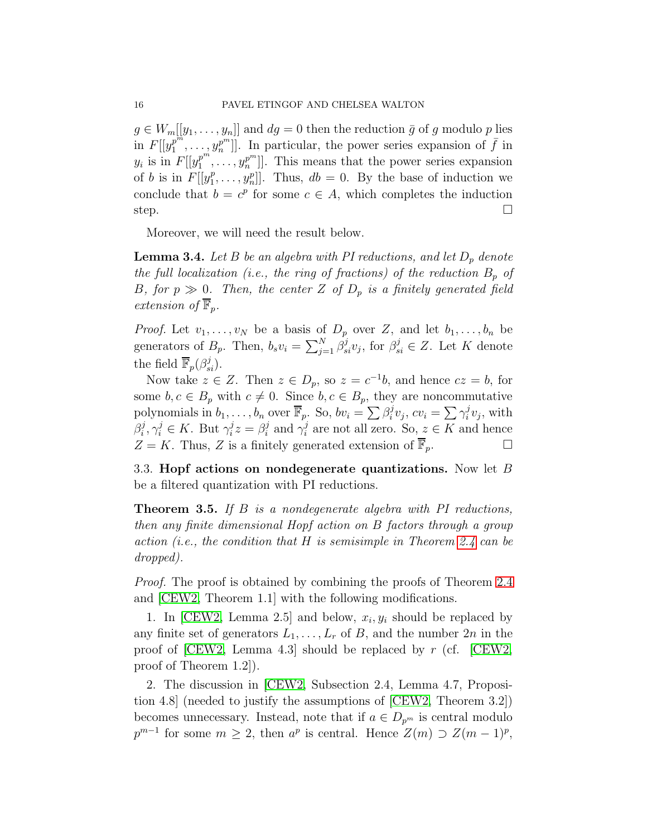$g \in W_m[[y_1, \ldots, y_n]]$  and  $dg = 0$  then the reduction  $\bar{g}$  of g modulo p lies in  $F[[y_1^{p^m}]$  $\left[ \begin{array}{c} p^m \\ 1 \end{array} \right]$ ,  $\ldots$ ,  $y_n^{p^m}$ ]. In particular, the power series expansion of  $\bar{f}$  in  $y_i$  is in  $F[[y_1^{p^m}]$  $[p^m_1, \ldots, y_n^{p^m}]$ . This means that the power series expansion of b is in  $F[[y_1^p$  $[n_1^p, \ldots, n_n^p]$ . Thus,  $db = 0$ . By the base of induction we conclude that  $b = c^p$  for some  $c \in A$ , which completes the induction step.  $\Box$ 

Moreover, we will need the result below.

<span id="page-15-1"></span>**Lemma 3.4.** Let B be an algebra with PI reductions, and let  $D_p$  denote the full localization (i.e., the ring of fractions) of the reduction  $B_p$  of B, for  $p \gg 0$ . Then, the center Z of  $D_p$  is a finitely generated field extension of  $\mathbb{F}_p$ .

*Proof.* Let  $v_1, \ldots, v_N$  be a basis of  $D_p$  over Z, and let  $b_1, \ldots, b_n$  be generators of  $B_p$ . Then,  $b_s v_i = \sum_{j=1}^N \beta_{si}^j v_j$ , for  $\beta_{si}^j \in Z$ . Let K denote the field  $\overline{\mathbb{F}}_p(\beta_{si}^j)$ .

Now take  $z \in Z$ . Then  $z \in D_p$ , so  $z = c^{-1}b$ , and hence  $cz = b$ , for some  $b, c \in B_p$  with  $c \neq 0$ . Since  $b, c \in B_p$ , they are noncommutative polynomials in  $b_1, \ldots, b_n$  over  $\overline{\mathbb{F}}_p$ . So,  $bv_i = \sum \beta_i^j$  $\sum_i^j v_j, cv_i = \sum \gamma_i^j$  $i^j v_j$ , with  $\beta_i^j$  $i, \gamma_i^j \in K$ . But  $\gamma_i^j$  $i^j z = \beta_i^j$  $i$  and  $\gamma_i^j$  $i<sub>i</sub>$  are not all zero. So,  $z \in K$  and hence  $Z = K$ . Thus, Z is a finitely generated extension of  $\mathbb{F}_p$ .

3.3. Hopf actions on nondegenerate quantizations. Now let B be a filtered quantization with PI reductions.

<span id="page-15-0"></span>Theorem 3.5. If B is a nondegenerate algebra with PI reductions, then any finite dimensional Hopf action on B factors through a group action (i.e., the condition that H is semisimple in Theorem [2.4](#page-9-0) can be dropped).

Proof. The proof is obtained by combining the proofs of Theorem [2.4](#page-9-0) and [\[CEW2,](#page-25-1) Theorem 1.1] with the following modifications.

1. In [\[CEW2,](#page-25-1) Lemma 2.5] and below,  $x_i, y_i$  should be replaced by any finite set of generators  $L_1, \ldots, L_r$  of B, and the number  $2n$  in the proof of [\[CEW2,](#page-25-1) Lemma 4.3] should be replaced by  $r$  (cf. [CEW2, proof of Theorem 1.2]).

2. The discussion in [\[CEW2,](#page-25-1) Subsection 2.4, Lemma 4.7, Proposition 4.8] (needed to justify the assumptions of [\[CEW2,](#page-25-1) Theorem 3.2]) becomes unnecessary. Instead, note that if  $a \in D_{p^m}$  is central modulo  $p^{m-1}$  for some  $m \geq 2$ , then  $a^p$  is central. Hence  $Z(m) \supset Z(m-1)^p$ ,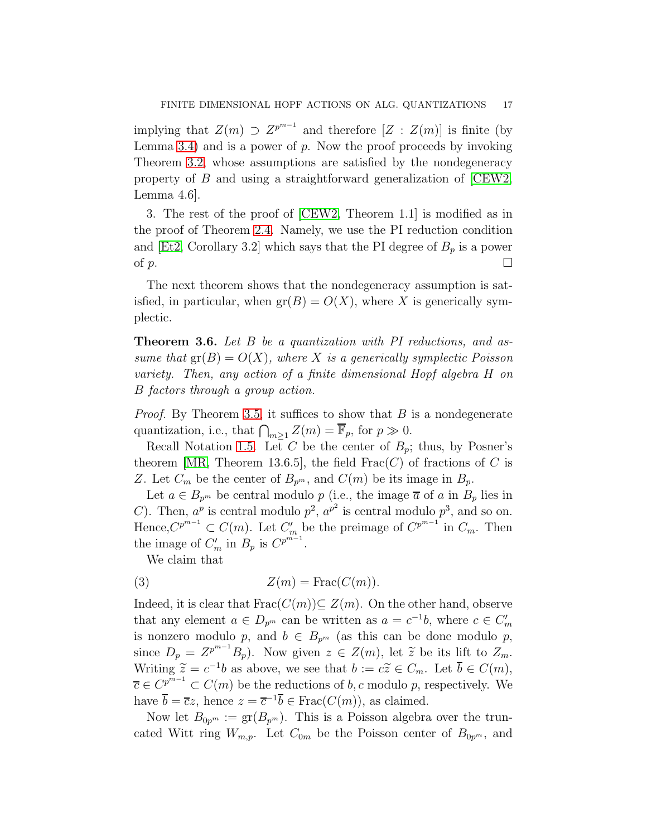implying that  $Z(m) \supset Z^{p^{m-1}}$  and therefore  $[Z : Z(m)]$  is finite (by Lemma [3.4\)](#page-15-1) and is a power of  $p$ . Now the proof proceeds by invoking Theorem [3.2,](#page-13-1) whose assumptions are satisfied by the nondegeneracy property of B and using a straightforward generalization of [\[CEW2,](#page-25-1) Lemma 4.6].

3. The rest of the proof of [\[CEW2,](#page-25-1) Theorem 1.1] is modified as in the proof of Theorem [2.4.](#page-9-0) Namely, we use the PI reduction condition and [\[Et2,](#page-25-3) Corollary 3.2] which says that the PI degree of  $B_p$  is a power of p.

The next theorem shows that the nondegeneracy assumption is satisfied, in particular, when  $gr(B) = O(X)$ , where X is generically symplectic.

<span id="page-16-0"></span>**Theorem 3.6.** Let B be a quantization with PI reductions, and assume that  $gr(B) = O(X)$ , where X is a generically symplectic Poisson variety. Then, any action of a finite dimensional Hopf algebra H on B factors through a group action.

*Proof.* By Theorem [3.5,](#page-15-0) it suffices to show that  $B$  is a nondegenerate quantization, i.e., that  $\bigcap_{m\geq 1} Z(m) = \overline{\mathbb{F}}_p$ , for  $p \gg 0$ .

Recall Notation [1.5.](#page-3-1) Let C be the center of  $B_p$ ; thus, by Posner's theorem [\[MR,](#page-26-3) Theorem 13.6.5], the field  $Frac(C)$  of fractions of C is Z. Let  $C_m$  be the center of  $B_{p^m}$ , and  $C(m)$  be its image in  $B_p$ .

Let  $a \in B_{p^m}$  be central modulo p (i.e., the image  $\overline{a}$  of a in  $B_p$  lies in C). Then,  $a^p$  is central modulo  $p^2$ ,  $a^{p^2}$  is central modulo  $p^3$ , and so on. Hence, $C^{p^{m-1}} \subset C(m)$ . Let  $C'_m$  be the preimage of  $C^{p^{m-1}}$  in  $C_m$ . Then the image of  $C'_m$  in  $B_p$  is  $C^{p^{m-1}}$ .

<span id="page-16-1"></span>We claim that

(3) 
$$
Z(m) = \operatorname{Frac}(C(m)).
$$

Indeed, it is clear that  $\text{Frac}(C(m))\subseteq Z(m)$ . On the other hand, observe that any element  $a \in D_{p^m}$  can be written as  $a = c^{-1}b$ , where  $c \in C'_m$ is nonzero modulo p, and  $b \in B_{p^m}$  (as this can be done modulo p, since  $D_p = Z^{p^{m-1}}B_p$ . Now given  $z \in Z(m)$ , let  $\tilde{z}$  be its lift to  $Z_m$ . Writing  $\widetilde{z} = c^{-1}b$  as above, we see that  $b := c\widetilde{z} \in C_m$ . Let  $\overline{b} \in C(m)$ ,  $\overline{c} \in C^{p^{\overline{m}-1}} \subset C(m)$  be the reductions of b, c modulo p, respectively. We have  $\overline{b} = \overline{c}z$ , hence  $z = \overline{c}^{-1}\overline{b} \in Frac(C(m))$ , as claimed.

Now let  $B_{0p^m} := \text{gr}(B_{p^m})$ . This is a Poisson algebra over the truncated Witt ring  $W_{m,p}$ . Let  $C_{0m}$  be the Poisson center of  $B_{0p^m}$ , and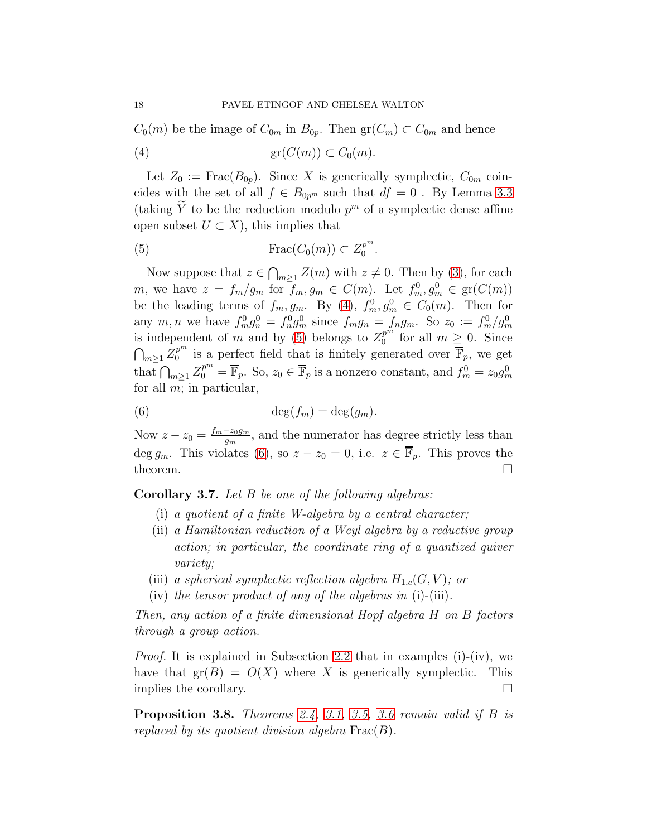$C_0(m)$  be the image of  $C_{0m}$  in  $B_{0p}$ . Then  $gr(C_m) \subset C_{0m}$  and hence

<span id="page-17-1"></span>(4) gr(C(m)) ⊂ C0(m).

Let  $Z_0 := \text{Frac}(B_{0p})$ . Since X is generically symplectic,  $C_{0m}$  coincides with the set of all  $f \in B_{0p^m}$  such that  $df = 0$ . By Lemma [3.3](#page-14-0) (taking  $\tilde{Y}$  to be the reduction modulo  $p^m$  of a symplectic dense affine open subset  $U \subset X$ , this implies that

<span id="page-17-2"></span>.

$$
(5) \qquad \qquad \text{Frac}(C_0(m)) \subset Z_0^{p^m}
$$

Now suppose that  $z \in \bigcap_{m \geq 1} Z(m)$  with  $z \neq 0$ . Then by [\(3\)](#page-16-1), for each m, we have  $z = f_m/g_m$  for  $f_m, g_m \in C(m)$ . Let  $f_m^0, g_m^0 \in \text{gr}(C(m))$ be the leading terms of  $f_m, g_m$ . By [\(4\)](#page-17-1),  $f_m^0, g_m^0 \in C_0(m)$ . Then for any m, n we have  $f_m^0 g_n^0 = f_n^0 g_m^0$  since  $f_m g_n = f_n g_m$ . So  $z_0 := f_m^0 / g_m^0$ is independent of m and by [\(5\)](#page-17-2) belongs to  $Z_0^{p^m}$  $_0^{p^m}$  for all  $m \geq 0$ . Since  $\bigcap_{m\geq 1}Z_0^{p^m}$  $p^m$  is a perfect field that is finitely generated over  $\overline{\mathbb{F}}_p$ , we get that  $\bigcap_{m\geq 1} Z_0^{p^m} = \overline{\mathbb{F}}_p$ . So,  $z_0 \in \overline{\mathbb{F}}_p$  is a nonzero constant, and  $f_m^0 = z_0 g_m^0$ for all  $m$ ; in particular,

<span id="page-17-3"></span>(6) 
$$
\deg(f_m) = \deg(g_m).
$$

Now  $z-z_0=\frac{f_m-z_0g_m}{g_m}$  $\frac{-z_0g_m}{g_m}$ , and the numerator has degree strictly less than deg  $g_m$ . This violates [\(6\)](#page-17-3), so  $z - z_0 = 0$ , i.e.  $z \in \overline{\mathbb{F}}_p$ . This proves the theorem.  $\Box$ 

<span id="page-17-0"></span>Corollary 3.7. Let B be one of the following algebras:

- (i) a quotient of a finite W-algebra by a central character;
- (ii) a Hamiltonian reduction of a Weyl algebra by a reductive group action; in particular, the coordinate ring of a quantized quiver variety;
- (iii) a spherical symplectic reflection algebra  $H_{1,c}(G, V)$ ; or
- (iv) the tensor product of any of the algebras in  $(i)$ -(iii).

Then, any action of a finite dimensional Hopf algebra H on B factors through a group action.

Proof. It is explained in Subsection [2.2](#page-9-1) that in examples (i)-(iv), we have that  $gr(B) = O(X)$  where X is generically symplectic. This implies the corollary.

**Proposition 3.8.** Theorems [2.4,](#page-9-0) [3.1,](#page-13-0) [3.5,](#page-15-0) [3.6](#page-16-0) remain valid if  $B$  is replaced by its quotient division algebra  $\text{Frac}(B)$ .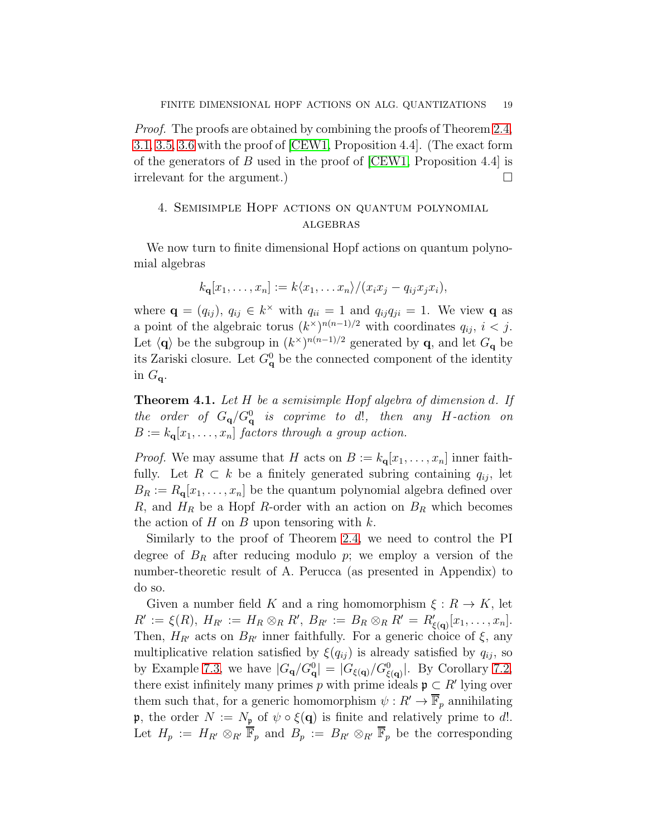Proof. The proofs are obtained by combining the proofs of Theorem [2.4,](#page-9-0) [3.1,](#page-13-0) [3.5,](#page-15-0) [3.6](#page-16-0) with the proof of [\[CEW1,](#page-25-0) Proposition 4.4]. (The exact form of the generators of B used in the proof of  $[CEW1,$  Proposition 4.4 is irrelevant for the argument.)

# 4. Semisimple Hopf actions on quantum polynomial **ALGEBRAS**

We now turn to finite dimensional Hopf actions on quantum polynomial algebras

$$
k_{\mathbf{q}}[x_1,\ldots,x_n] := k\langle x_1,\ldots x_n \rangle / (x_ix_j - q_{ij}x_jx_i),
$$

where  $\mathbf{q} = (q_{ij}), q_{ij} \in k^{\times}$  with  $q_{ii} = 1$  and  $q_{ij}q_{ji} = 1$ . We view **q** as a point of the algebraic torus  $(k^{\times})^{n(n-1)/2}$  with coordinates  $q_{ij}$ ,  $i < j$ . Let  $\langle \mathbf{q} \rangle$  be the subgroup in  $(k^{\times})^{n(n-1)/2}$  generated by **q**, and let  $G_{\mathbf{q}}$  be its Zariski closure. Let  $G_{\mathbf{q}}^0$  be the connected component of the identity in  $G_{\mathbf{q}}$ .

<span id="page-18-0"></span>Theorem 4.1. Let H be a semisimple Hopf algebra of dimension d. If the order of  $G_{\mathbf{q}}/G_{\mathbf{q}}^0$  is coprime to d!, then any H-action on  $B := k_{\mathbf{q}}[x_1, \ldots, x_n]$  factors through a group action.

*Proof.* We may assume that H acts on  $B := k_{q}[x_1, \ldots, x_n]$  inner faithfully. Let  $R \subset k$  be a finitely generated subring containing  $q_{ij}$ , let  $B_R := R_{\mathbf{q}}[x_1,\ldots,x_n]$  be the quantum polynomial algebra defined over R, and  $H_R$  be a Hopf R-order with an action on  $B_R$  which becomes the action of  $H$  on  $B$  upon tensoring with  $k$ .

Similarly to the proof of Theorem [2.4,](#page-9-0) we need to control the PI degree of  $B_R$  after reducing modulo p; we employ a version of the number-theoretic result of A. Perucca (as presented in Appendix) to do so.

Given a number field K and a ring homomorphism  $\xi : R \to K$ , let  $R' := \xi(R), H_{R'} := H_R \otimes_R R', B_{R'} := B_R \otimes_R R' = R'_{\xi(\mathbf{q})}[x_1, \ldots, x_n].$ Then,  $H_{R'}$  acts on  $B_{R'}$  inner faithfully. For a generic choice of  $\xi$ , any multiplicative relation satisfied by  $\xi(q_{ij})$  is already satisfied by  $q_{ij}$ , so by Example [7.3,](#page-24-0) we have  $|G_{\bf q}/G_{\bf q}^0|=|G_{\xi({\bf q})}/G_{\xi({\bf q})}^0|$ . By Corollary [7.2,](#page-24-1) there exist infinitely many primes p with prime ideals  $\mathfrak{p} \subset R'$  lying over them such that, for a generic homomorphism  $\psi : R' \to \mathbb{F}_p$  annihilating **p**, the order  $N := N_p$  of  $\psi \circ \xi(\mathbf{q})$  is finite and relatively prime to d!. Let  $H_p := H_{R'} \otimes_{R'} \overline{\mathbb{F}}_p$  and  $B_p := B_{R'} \otimes_{R'} \overline{\mathbb{F}}_p$  be the corresponding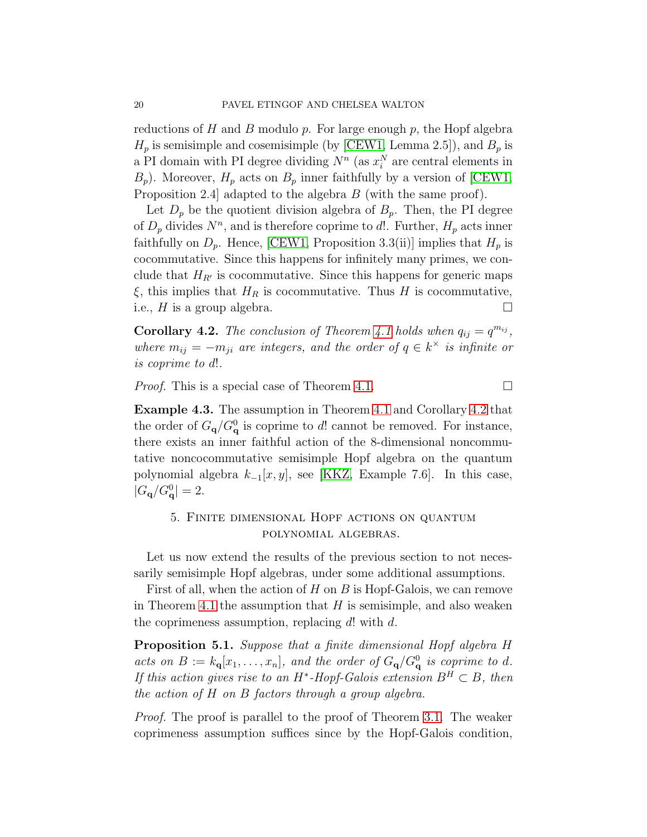reductions of H and B modulo  $p$ . For large enough  $p$ , the Hopf algebra  $H_p$  is semisimple and cosemisimple (by [\[CEW1,](#page-25-0) Lemma 2.5]), and  $B_p$  is a PI domain with PI degree dividing  $N^n$  (as  $x_i^N$  are central elements in  $B_p$ ). Moreover,  $H_p$  acts on  $B_p$  inner faithfully by a version of [\[CEW1,](#page-25-0) Proposition 2.4 adapted to the algebra B (with the same proof).

Let  $D_p$  be the quotient division algebra of  $B_p$ . Then, the PI degree of  $D_p$  divides  $N^n$ , and is therefore coprime to d!. Further,  $H_p$  acts inner faithfully on  $D_p$ . Hence, [\[CEW1,](#page-25-0) Proposition 3.3(ii)] implies that  $H_p$  is cocommutative. Since this happens for infinitely many primes, we conclude that  $H_{R'}$  is cocommutative. Since this happens for generic maps  $\xi$ , this implies that  $H_R$  is cocommutative. Thus H is cocommutative, i.e.,  $H$  is a group algebra.

<span id="page-19-1"></span>**Corollary 4.2.** The conclusion of Theorem [4.1](#page-18-0) holds when  $q_{ij} = q^{m_{ij}}$ , where  $m_{ij} = -m_{ji}$  are integers, and the order of  $q \in k^{\times}$  is infinite or is coprime to d!.

*Proof.* This is a special case of Theorem [4.1.](#page-18-0)

Example 4.3. The assumption in Theorem [4.1](#page-18-0) and Corollary [4.2](#page-19-1) that the order of  $G_{\mathbf{q}}/G_{\mathbf{q}}^0$  is coprime to d! cannot be removed. For instance, there exists an inner faithful action of the 8-dimensional noncommutative noncocommutative semisimple Hopf algebra on the quantum polynomial algebra  $k_{-1}[x, y]$ , see [\[KKZ,](#page-26-5) Example 7.6]. In this case,  $|G_{\bf q}/G_{\bf q}^0|=2.$ 

## 5. Finite dimensional Hopf actions on quantum polynomial algebras.

Let us now extend the results of the previous section to not necessarily semisimple Hopf algebras, under some additional assumptions.

First of all, when the action of  $H$  on  $B$  is Hopf-Galois, we can remove in Theorem [4.1](#page-18-0) the assumption that  $H$  is semisimple, and also weaken the coprimeness assumption, replacing  $d!$  with  $d$ .

<span id="page-19-0"></span>Proposition 5.1. Suppose that a finite dimensional Hopf algebra H acts on  $B := k_{\mathbf{q}}[x_1, \ldots, x_n]$ , and the order of  $G_{\mathbf{q}}/G_{\mathbf{q}}^0$  is coprime to d. If this action gives rise to an H<sup>\*</sup>-Hopf-Galois extension  $B^H \subset B$ , then the action of H on B factors through a group algebra.

Proof. The proof is parallel to the proof of Theorem [3.1.](#page-13-0) The weaker coprimeness assumption suffices since by the Hopf-Galois condition,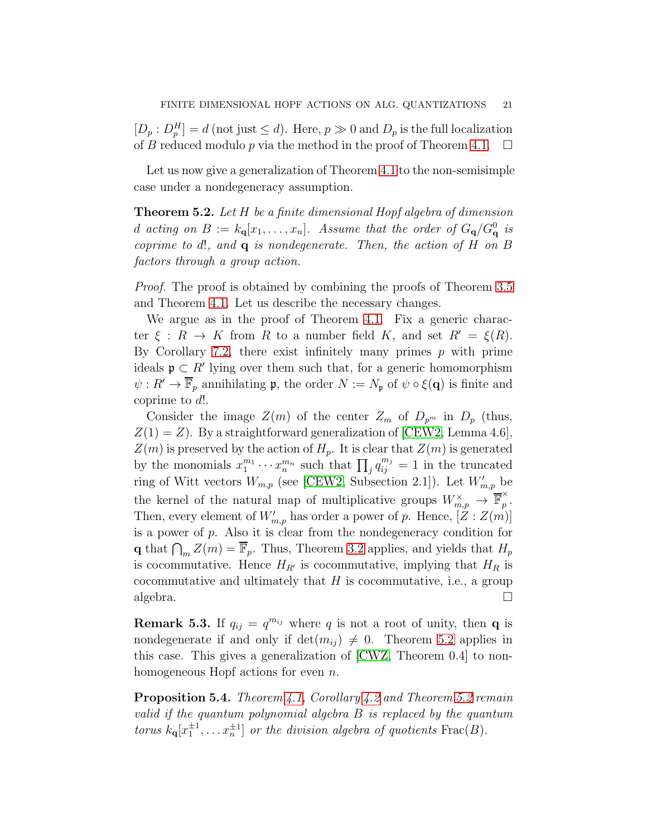$[D_p: D_p^H] = d$  (not just  $\leq d$ ). Here,  $p \gg 0$  and  $D_p$  is the full localization of B reduced modulo p via the method in the proof of Theorem [4.1.](#page-18-0)  $\Box$ 

Let us now give a generalization of Theorem [4.1](#page-18-0) to the non-semisimple case under a nondegeneracy assumption.

<span id="page-20-0"></span>Theorem 5.2. Let H be a finite dimensional Hopf algebra of dimension d acting on  $B := k_{\mathbf{q}}[x_1, \ldots, x_n]$ . Assume that the order of  $G_{\mathbf{q}}/G_{\mathbf{q}}^0$  is coprime to d!, and  $q$  is nondegenerate. Then, the action of  $H$  on  $B$ factors through a group action.

Proof. The proof is obtained by combining the proofs of Theorem [3.5](#page-15-0) and Theorem [4.1.](#page-18-0) Let us describe the necessary changes.

We argue as in the proof of Theorem [4.1.](#page-18-0) Fix a generic character  $\xi : R \to K$  from R to a number field K, and set  $R' = \xi(R)$ . By Corollary [7.2,](#page-24-1) there exist infinitely many primes  $p$  with prime ideals  $\mathfrak{p} \subset R'$  lying over them such that, for a generic homomorphism  $\psi: R' \to \mathbb{F}_p$  annihilating **p**, the order  $N := N_p$  of  $\psi \circ \xi(\mathbf{q})$  is finite and coprime to d!.

Consider the image  $Z(m)$  of the center  $Z_m$  of  $D_{p^m}$  in  $D_p$  (thus,  $Z(1) = Z$ ). By a straightforward generalization of [\[CEW2,](#page-25-1) Lemma 4.6],  $Z(m)$  is preserved by the action of  $H_p$ . It is clear that  $Z(m)$  is generated by the monomials  $x_1^{m_1}$  $x_1^{m_1} \cdots x_n^{m_n}$  such that  $\prod_j q_{ij}^{m_j} = 1$  in the truncated ring of Witt vectors  $W_{m,p}$  (see [\[CEW2,](#page-25-1) Subsection 2.1]). Let  $W'_{m,p}$  be the kernel of the natural map of multiplicative groups  $W_{m,p}^{\times} \to \mathbb{\overline{F}}_p^{\times}$  $\hat{p}$  . Then, every element of  $W'_{m,p}$  has order a power of p. Hence,  $[Z:Z(m)]$ is a power of  $p$ . Also it is clear from the nondegeneracy condition for **q** that  $\bigcap_{m} Z(m) = \overline{\mathbb{F}}_p$ . Thus, Theorem [3.2](#page-13-1) applies, and yields that  $H_p$ is cocommutative. Hence  $H_{R'}$  is cocommutative, implying that  $H_R$  is cocommutative and ultimately that  $H$  is cocommutative, i.e., a group algebra.  $\Box$ 

<span id="page-20-1"></span>**Remark 5.3.** If  $q_{ij} = q^{m_{ij}}$  where q is not a root of unity, then q is nondegenerate if and only if  $\det(m_{ij}) \neq 0$ . Theorem [5.2](#page-20-0) applies in this case. This gives a generalization of [\[CWZ,](#page-25-5) Theorem 0.4] to nonhomogeneous Hopf actions for even *n*.

<span id="page-20-2"></span>**Proposition 5.4.** Theorem [4.1,](#page-18-0) Corollary [4.2](#page-19-1) and Theorem [5.2](#page-20-0) remain valid if the quantum polynomial algebra B is replaced by the quantum torus  $k_q[x_1^{\pm 1}, \ldots x_n^{\pm 1}]$  or the division algebra of quotients  $\text{Frac}(B)$ .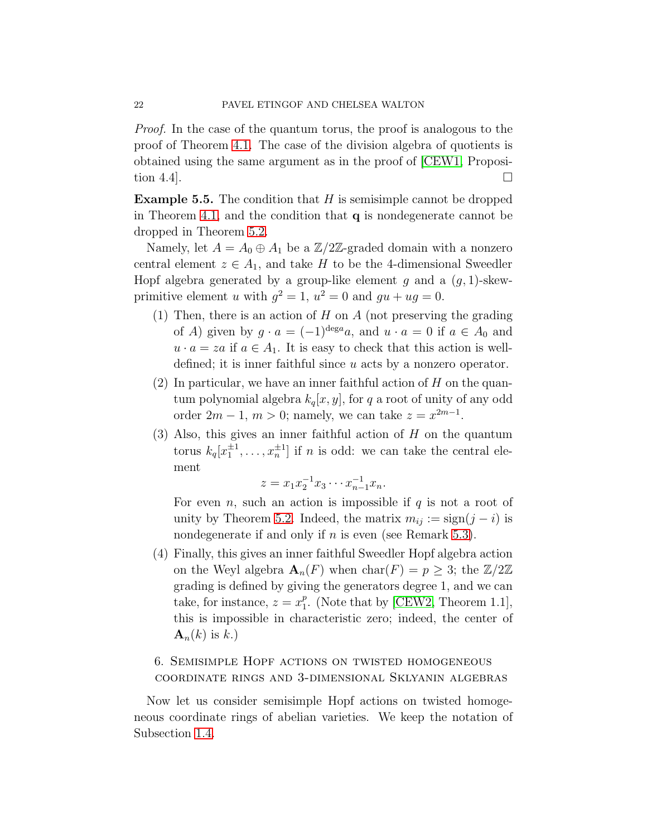Proof. In the case of the quantum torus, the proof is analogous to the proof of Theorem [4.1.](#page-18-0) The case of the division algebra of quotients is obtained using the same argument as in the proof of [\[CEW1,](#page-25-0) Proposition 4.4].

<span id="page-21-0"></span>**Example 5.5.** The condition that  $H$  is semisimple cannot be dropped in Theorem [4.1,](#page-18-0) and the condition that q is nondegenerate cannot be dropped in Theorem [5.2.](#page-20-0)

Namely, let  $A = A_0 \oplus A_1$  be a  $\mathbb{Z}/2\mathbb{Z}$ -graded domain with a nonzero central element  $z \in A_1$ , and take H to be the 4-dimensional Sweedler Hopf algebra generated by a group-like element g and a  $(g, 1)$ -skewprimitive element u with  $g^2 = 1$ ,  $u^2 = 0$  and  $gu + ug = 0$ .

- (1) Then, there is an action of  $H$  on  $A$  (not preserving the grading of A) given by  $g \cdot a = (-1)^{\deg a} a$ , and  $u \cdot a = 0$  if  $a \in A_0$  and  $u \cdot a = za$  if  $a \in A_1$ . It is easy to check that this action is welldefined; it is inner faithful since u acts by a nonzero operator.
- (2) In particular, we have an inner faithful action of  $H$  on the quantum polynomial algebra  $k_q[x, y]$ , for q a root of unity of any odd order  $2m - 1$ ,  $m > 0$ ; namely, we can take  $z = x^{2m-1}$ .
- $(3)$  Also, this gives an inner faithful action of H on the quantum torus  $k_q[x_1^{\pm 1}, \ldots, x_n^{\pm 1}]$  if *n* is odd: we can take the central element

$$
z = x_1 x_2^{-1} x_3 \cdots x_{n-1}^{-1} x_n.
$$

For even n, such an action is impossible if q is not a root of unity by Theorem [5.2.](#page-20-0) Indeed, the matrix  $m_{ij} := sign(j - i)$  is nondegenerate if and only if  $n$  is even (see Remark [5.3\)](#page-20-1).

(4) Finally, this gives an inner faithful Sweedler Hopf algebra action on the Weyl algebra  $\mathbf{A}_n(F)$  when  $char(F) = p \geq 3$ ; the  $\mathbb{Z}/2\mathbb{Z}$ grading is defined by giving the generators degree 1, and we can take, for instance,  $z = x_1^p$  $_{1}^{p}$ . (Note that by [\[CEW2,](#page-25-1) Theorem 1.1], this is impossible in characteristic zero; indeed, the center of  $\mathbf{A}_n(k)$  is k.)

# 6. Semisimple Hopf actions on twisted homogeneous coordinate rings and 3-dimensional Sklyanin algebras

Now let us consider semisimple Hopf actions on twisted homogeneous coordinate rings of abelian varieties. We keep the notation of Subsection [1.4.](#page-5-2)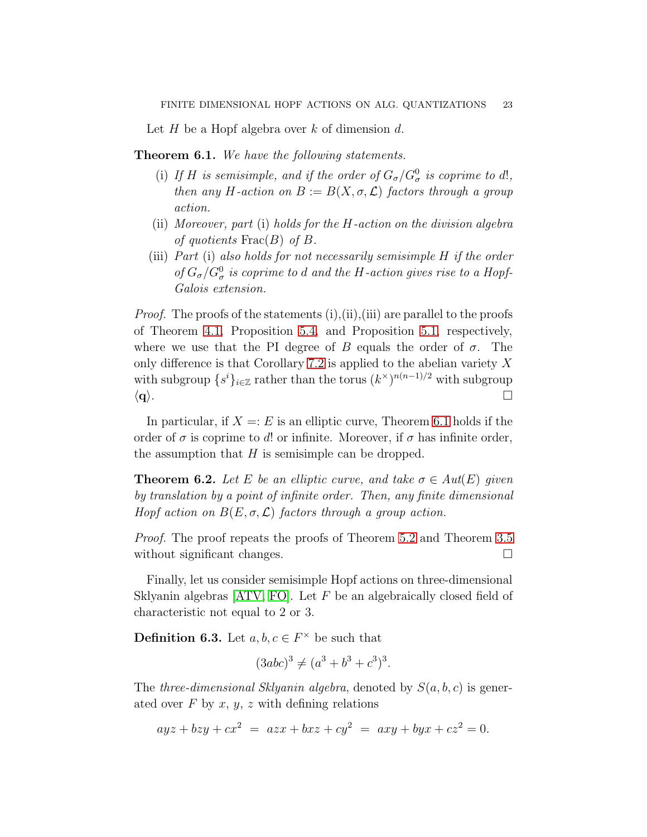Let H be a Hopf algebra over k of dimension d.

<span id="page-22-0"></span>**Theorem 6.1.** We have the following statements.

- (i) If H is semisimple, and if the order of  $G_{\sigma}/G_{\sigma}^0$  is coprime to d!, then any H-action on  $B := B(X, \sigma, \mathcal{L})$  factors through a group action.
- (ii) Moreover, part (i) holds for the H-action on the division algebra of quotients  $\text{Frac}(B)$  of B.
- (iii) Part (i) also holds for not necessarily semisimple H if the order of  $G_{\sigma}/G_{\sigma}^0$  is coprime to d and the H-action gives rise to a Hopf-Galois extension.

*Proof.* The proofs of the statements  $(i), (ii), (iii)$  are parallel to the proofs of Theorem [4.1,](#page-18-0) Proposition [5.4,](#page-20-2) and Proposition [5.1,](#page-19-0) respectively, where we use that the PI degree of B equals the order of  $\sigma$ . The only difference is that Corollary [7.2](#page-24-1) is applied to the abelian variety  $X$ with subgroup  $\{s^i\}_{i\in\mathbb{Z}}$  rather than the torus  $(k^{\times})^{n(n-1)/2}$  with subgroup  $\langle \mathbf{q} \rangle$ .

In particular, if  $X = E$  is an elliptic curve, Theorem [6.1](#page-22-0) holds if the order of  $\sigma$  is coprime to d! or infinite. Moreover, if  $\sigma$  has infinite order, the assumption that  $H$  is semisimple can be dropped.

<span id="page-22-2"></span>**Theorem 6.2.** Let E be an elliptic curve, and take  $\sigma \in Aut(E)$  given by translation by a point of infinite order. Then, any finite dimensional Hopf action on  $B(E, \sigma, \mathcal{L})$  factors through a group action.

Proof. The proof repeats the proofs of Theorem [5.2](#page-20-0) and Theorem [3.5](#page-15-0) without significant changes.

Finally, let us consider semisimple Hopf actions on three-dimensional Sklyanin algebras  $[ATV, FO]$  $[ATV, FO]$ . Let F be an algebraically closed field of characteristic not equal to 2 or 3.

<span id="page-22-1"></span>**Definition 6.3.** Let  $a, b, c \in F^{\times}$  be such that

$$
(3abc)^3 \neq (a^3 + b^3 + c^3)^3.
$$

The three-dimensional Sklyanin algebra, denoted by  $S(a, b, c)$  is generated over  $F$  by  $x, y, z$  with defining relations

$$
ayz + bzy + cx^2 = azx + bxz + cy^2 = axy + byx + cz^2 = 0.
$$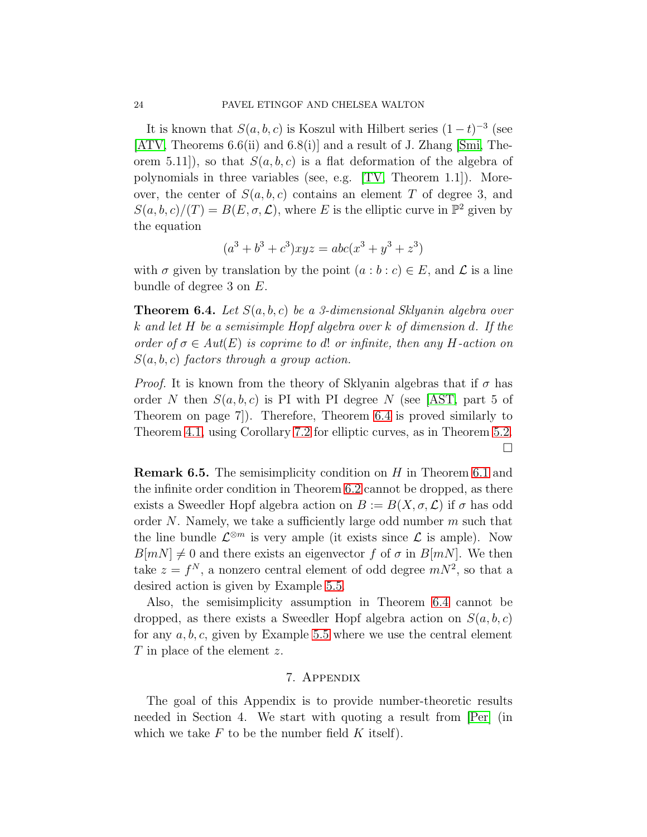It is known that  $S(a, b, c)$  is Koszul with Hilbert series  $(1-t)^{-3}$  (see  $[ATV, Theorems 6.6(ii) and 6.8(i)]$  $[ATV, Theorems 6.6(ii) and 6.8(i)]$  and a result of J. Zhang  $[Smi, The$ orem 5.11]), so that  $S(a, b, c)$  is a flat deformation of the algebra of polynomials in three variables (see, e.g. [\[TV,](#page-27-2) Theorem 1.1]). Moreover, the center of  $S(a, b, c)$  contains an element T of degree 3, and  $S(a, b, c)/(T) = B(E, \sigma, \mathcal{L})$ , where E is the elliptic curve in  $\mathbb{P}^2$  given by the equation

$$
(a3 + b3 + c3)xyz = abc(x3 + y3 + z3)
$$

with  $\sigma$  given by translation by the point  $(a:b:c) \in E$ , and  $\mathcal L$  is a line bundle of degree 3 on E.

<span id="page-23-0"></span>**Theorem 6.4.** Let  $S(a, b, c)$  be a 3-dimensional Sklyanin algebra over k and let H be a semisimple Hopf algebra over k of dimension d. If the order of  $\sigma \in Aut(E)$  is coprime to d! or infinite, then any H-action on  $S(a, b, c)$  factors through a group action.

*Proof.* It is known from the theory of Sklyanin algebras that if  $\sigma$  has order N then  $S(a, b, c)$  is PI with PI degree N (see [\[AST,](#page-25-15) part 5 of Theorem on page 7]). Therefore, Theorem [6.4](#page-23-0) is proved similarly to Theorem [4.1,](#page-18-0) using Corollary [7.2](#page-24-1) for elliptic curves, as in Theorem [5.2.](#page-20-0)  $\Box$ 

Remark 6.5. The semisimplicity condition on H in Theorem [6.1](#page-22-0) and the infinite order condition in Theorem [6.2](#page-22-2) cannot be dropped, as there exists a Sweedler Hopf algebra action on  $B := B(X, \sigma, \mathcal{L})$  if  $\sigma$  has odd order N. Namely, we take a sufficiently large odd number  $m$  such that the line bundle  $\mathcal{L}^{\otimes m}$  is very ample (it exists since  $\mathcal{L}$  is ample). Now  $B[mN] \neq 0$  and there exists an eigenvector f of  $\sigma$  in  $B[mN]$ . We then take  $z = f^N$ , a nonzero central element of odd degree  $mN^2$ , so that a desired action is given by Example [5.5.](#page-21-0)

Also, the semisimplicity assumption in Theorem [6.4](#page-23-0) cannot be dropped, as there exists a Sweedler Hopf algebra action on  $S(a, b, c)$ for any  $a, b, c$ , given by Example [5.5](#page-21-0) where we use the central element T in place of the element z.

### 7. Appendix

The goal of this Appendix is to provide number-theoretic results needed in Section 4. We start with quoting a result from [\[Per\]](#page-26-20) (in which we take  $F$  to be the number field  $K$  itself).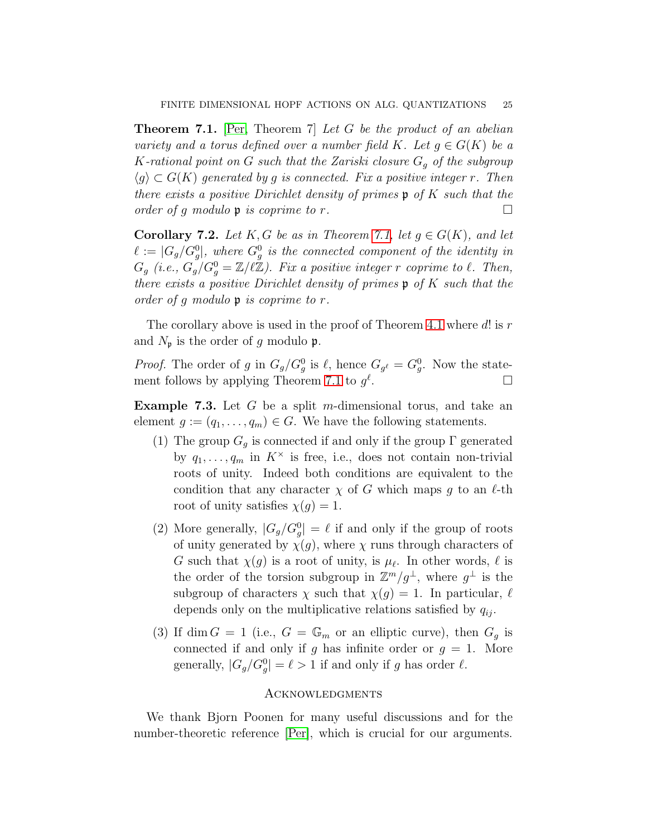<span id="page-24-2"></span>**Theorem 7.1.** [\[Per,](#page-26-20) Theorem 7] Let G be the product of an abelian variety and a torus defined over a number field K. Let  $q \in G(K)$  be a K-rational point on G such that the Zariski closure  $G_q$  of the subgroup  $\langle q \rangle \subset G(K)$  generated by g is connected. Fix a positive integer r. Then there exists a positive Dirichlet density of primes  $\mathfrak p$  of K such that the order of g modulo  $\mathfrak p$  is coprime to r.

<span id="page-24-1"></span>**Corollary 7.2.** Let K, G be as in Theorem [7.1,](#page-24-2) let  $g \in G(K)$ , and let  $\ell := |G_g/G_g^0|$ , where  $G_g^0$  is the connected component of the identity in  $G_g$  (i.e.,  $G_g$ / $G_g^0 = \mathbb{Z}/\ell\mathbb{Z}$ ). Fix a positive integer r coprime to  $\ell$ . Then, there exists a positive Dirichlet density of primes  $\mathfrak p$  of K such that the order of g modulo p is coprime to r.

The corollary above is used in the proof of Theorem [4.1](#page-18-0) where  $d!$  is  $r$ and  $N_{\mathfrak{p}}$  is the order of g modulo  $\mathfrak{p}$ .

*Proof.* The order of g in  $G_g/G_g^0$  is  $\ell$ , hence  $G_{g^{\ell}} = G_g^0$ . Now the state-ment follows by applying Theorem [7.1](#page-24-2) to  $g^{\ell}$ .

<span id="page-24-0"></span>**Example 7.3.** Let  $G$  be a split m-dimensional torus, and take an element  $g := (q_1, \ldots, q_m) \in G$ . We have the following statements.

- (1) The group  $G_q$  is connected if and only if the group  $\Gamma$  generated by  $q_1, \ldots, q_m$  in  $K^{\times}$  is free, i.e., does not contain non-trivial roots of unity. Indeed both conditions are equivalent to the condition that any character  $\chi$  of G which maps g to an  $\ell$ -th root of unity satisfies  $\chi(q) = 1$ .
- (2) More generally,  $|G_g/G_g^0| = \ell$  if and only if the group of roots of unity generated by  $\chi(g)$ , where  $\chi$  runs through characters of G such that  $\chi(g)$  is a root of unity, is  $\mu_{\ell}$ . In other words,  $\ell$  is the order of the torsion subgroup in  $\mathbb{Z}^m/g^{\perp}$ , where  $g^{\perp}$  is the subgroup of characters  $\chi$  such that  $\chi(q) = 1$ . In particular,  $\ell$ depends only on the multiplicative relations satisfied by  $q_{ij}$ .
- (3) If dim  $G = 1$  (i.e.,  $G = \mathbb{G}_m$  or an elliptic curve), then  $G_q$  is connected if and only if g has infinite order or  $g = 1$ . More generally,  $|G_g/G_g^0| = \ell > 1$  if and only if g has order  $\ell$ .

#### **ACKNOWLEDGMENTS**

We thank Bjorn Poonen for many useful discussions and for the number-theoretic reference [\[Per\]](#page-26-20), which is crucial for our arguments.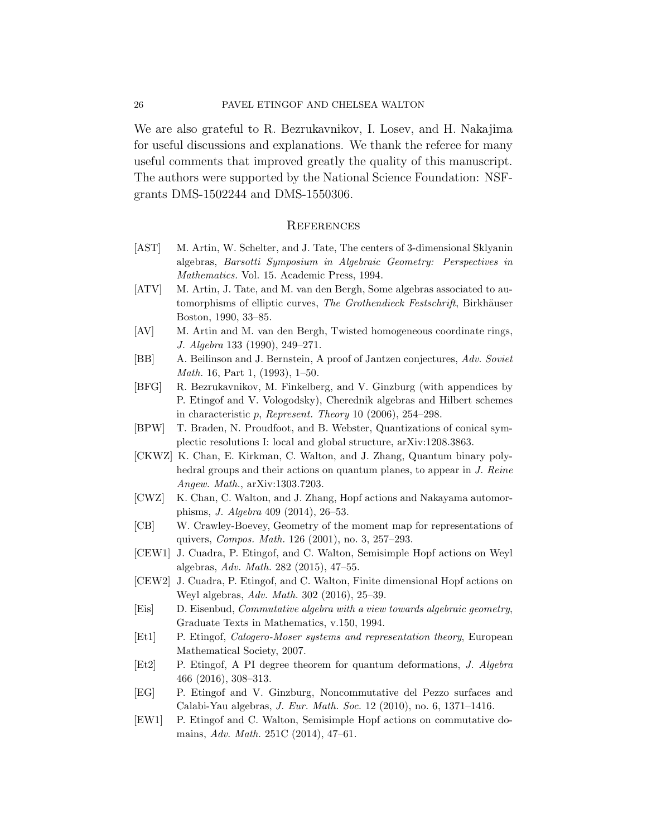#### 26 PAVEL ETINGOF AND CHELSEA WALTON

We are also grateful to R. Bezrukavnikov, I. Losev, and H. Nakajima for useful discussions and explanations. We thank the referee for many useful comments that improved greatly the quality of this manuscript. The authors were supported by the National Science Foundation: NSFgrants DMS-1502244 and DMS-1550306.

#### **REFERENCES**

- <span id="page-25-15"></span>[AST] M. Artin, W. Schelter, and J. Tate, The centers of 3-dimensional Sklyanin algebras, *Barsotti Symposium in Algebraic Geometry: Perspectives in Mathematics.* Vol. 15. Academic Press, 1994.
- <span id="page-25-7"></span>[ATV] M. Artin, J. Tate, and M. van den Bergh, Some algebras associated to automorphisms of elliptic curves, *The Grothendieck Festschrift*, Birkhäuser Boston, 1990, 33–85.
- <span id="page-25-6"></span>[AV] M. Artin and M. van den Bergh, Twisted homogeneous coordinate rings, *J. Algebra* 133 (1990), 249–271.
- <span id="page-25-10"></span>[BB] A. Beilinson and J. Bernstein, A proof of Jantzen conjectures, *Adv. Soviet Math.* 16, Part 1, (1993), 1–50.
- <span id="page-25-14"></span>[BFG] R. Bezrukavnikov, M. Finkelberg, and V. Ginzburg (with appendices by P. Etingof and V. Vologodsky), Cherednik algebras and Hilbert schemes in characteristic p, *Represent. Theory* 10 (2006), 254–298.
- <span id="page-25-12"></span>[BPW] T. Braden, N. Proudfoot, and B. Webster, Quantizations of conical symplectic resolutions I: local and global structure, arXiv:1208.3863.
- <span id="page-25-4"></span>[CKWZ] K. Chan, E. Kirkman, C. Walton, and J. Zhang, Quantum binary polyhedral groups and their actions on quantum planes, to appear in *J. Reine Angew. Math.*, arXiv:1303.7203.
- <span id="page-25-5"></span>[CWZ] K. Chan, C. Walton, and J. Zhang, Hopf actions and Nakayama automorphisms, *J. Algebra* 409 (2014), 26–53.
- <span id="page-25-13"></span>[CB] W. Crawley-Boevey, Geometry of the moment map for representations of quivers, *Compos. Math.* 126 (2001), no. 3, 257–293.
- <span id="page-25-0"></span>[CEW1] J. Cuadra, P. Etingof, and C. Walton, Semisimple Hopf actions on Weyl algebras, *Adv. Math.* 282 (2015), 47–55.
- <span id="page-25-1"></span>[CEW2] J. Cuadra, P. Etingof, and C. Walton, Finite dimensional Hopf actions on Weyl algebras, *Adv. Math.* 302 (2016), 25–39.
- <span id="page-25-9"></span>[Eis] D. Eisenbud, *Commutative algebra with a view towards algebraic geometry*, Graduate Texts in Mathematics, v.150, 1994.
- <span id="page-25-11"></span>[Et1] P. Etingof, *Calogero-Moser systems and representation theory*, European Mathematical Society, 2007.
- <span id="page-25-3"></span>[Et2] P. Etingof, A PI degree theorem for quantum deformations, *J. Algebra* 466 (2016), 308–313.
- <span id="page-25-8"></span>[EG] P. Etingof and V. Ginzburg, Noncommutative del Pezzo surfaces and Calabi-Yau algebras, *J. Eur. Math. Soc.* 12 (2010), no. 6, 1371–1416.
- <span id="page-25-2"></span>[EW1] P. Etingof and C. Walton, Semisimple Hopf actions on commutative domains, *Adv. Math.* 251C (2014), 47–61.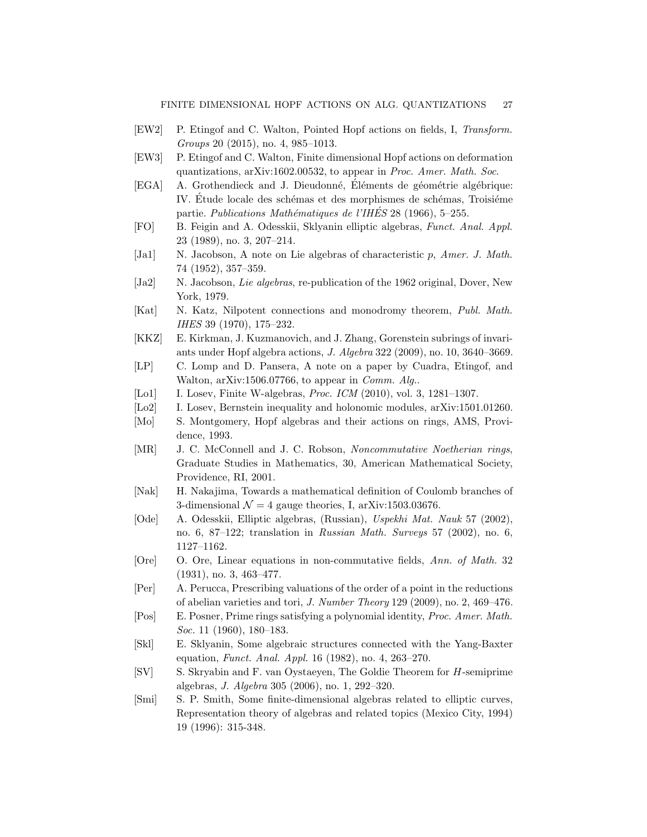- <span id="page-26-6"></span>[EW2] P. Etingof and C. Walton, Pointed Hopf actions on fields, I, *Transform. Groups* 20 (2015), no. 4, 985–1013.
- <span id="page-26-0"></span>[EW3] P. Etingof and C. Walton, Finite dimensional Hopf actions on deformation quantizations, arXiv:1602.00532, to appear in *Proc. Amer. Math. Soc*.
- <span id="page-26-9"></span>[EGA] A. Grothendieck and J. Dieudonné, Éléments de géométrie algébrique: IV. Etude locale des schémas et des morphismes de schémas, Troisième partie. *Publications Math´ematiques de l'IHES´* 28 (1966), 5–255.
- <span id="page-26-18"></span>[FO] B. Feigin and A. Odesskii, Sklyanin elliptic algebras, *Funct. Anal. Appl.* 23 (1989), no. 3, 207–214.
- <span id="page-26-14"></span>[Ja1] N. Jacobson, A note on Lie algebras of characteristic p, *Amer. J. Math.* 74 (1952), 357–359.
- <span id="page-26-15"></span>[Ja2] N. Jacobson, *Lie algebras*, re-publication of the 1962 original, Dover, New York, 1979.
- <span id="page-26-17"></span>[Kat] N. Katz, Nilpotent connections and monodromy theorem, *Publ. Math. IHES* 39 (1970), 175–232.
- <span id="page-26-5"></span>[KKZ] E. Kirkman, J. Kuzmanovich, and J. Zhang, Gorenstein subrings of invariants under Hopf algebra actions, *J. Algebra* 322 (2009), no. 10, 3640–3669.
- <span id="page-26-4"></span>[LP] C. Lomp and D. Pansera, A note on a paper by Cuadra, Etingof, and Walton, arXiv:1506.07766, to appear in *Comm. Alg.*.
- <span id="page-26-13"></span>[Lo1] I. Losev, Finite W-algebras, *Proc. ICM* (2010), vol. 3, 1281–1307.
- <span id="page-26-11"></span>[Lo2] I. Losev, Bernstein inequality and holonomic modules, arXiv:1501.01260.
- <span id="page-26-16"></span>[Mo] S. Montgomery, Hopf algebras and their actions on rings, AMS, Providence, 1993.
- <span id="page-26-3"></span>[MR] J. C. McConnell and J. C. Robson, *Noncommutative Noetherian rings*, Graduate Studies in Mathematics, 30, American Mathematical Society, Providence, RI, 2001.
- <span id="page-26-12"></span>[Nak] H. Nakajima, Towards a mathematical definition of Coulomb branches of 3-dimensional  $\mathcal{N} = 4$  gauge theories, I, arXiv:1503.03676.
- <span id="page-26-8"></span>[Ode] A. Odesskii, Elliptic algebras, (Russian), *Uspekhi Mat. Nauk* 57 (2002), no. 6, 87–122; translation in *Russian Math. Surveys* 57 (2002), no. 6, 1127–1162.
- <span id="page-26-2"></span>[Ore] O. Ore, Linear equations in non-commutative fields, *Ann. of Math.* 32 (1931), no. 3, 463–477.
- <span id="page-26-20"></span>[Per] A. Perucca, Prescribing valuations of the order of a point in the reductions of abelian varieties and tori, *J. Number Theory* 129 (2009), no. 2, 469–476.
- <span id="page-26-1"></span>[Pos] E. Posner, Prime rings satisfying a polynomial identity, *Proc. Amer. Math. Soc.* 11 (1960), 180–183.
- <span id="page-26-7"></span>[Skl] E. Sklyanin, Some algebraic structures connected with the Yang-Baxter equation, *Funct. Anal. Appl.* 16 (1982), no. 4, 263–270.
- <span id="page-26-10"></span>[SV] S. Skryabin and F. van Oystaeyen, The Goldie Theorem for H-semiprime algebras, *J. Algebra* 305 (2006), no. 1, 292–320.
- <span id="page-26-19"></span>[Smi] S. P. Smith, Some finite-dimensional algebras related to elliptic curves, Representation theory of algebras and related topics (Mexico City, 1994) 19 (1996): 315-348.